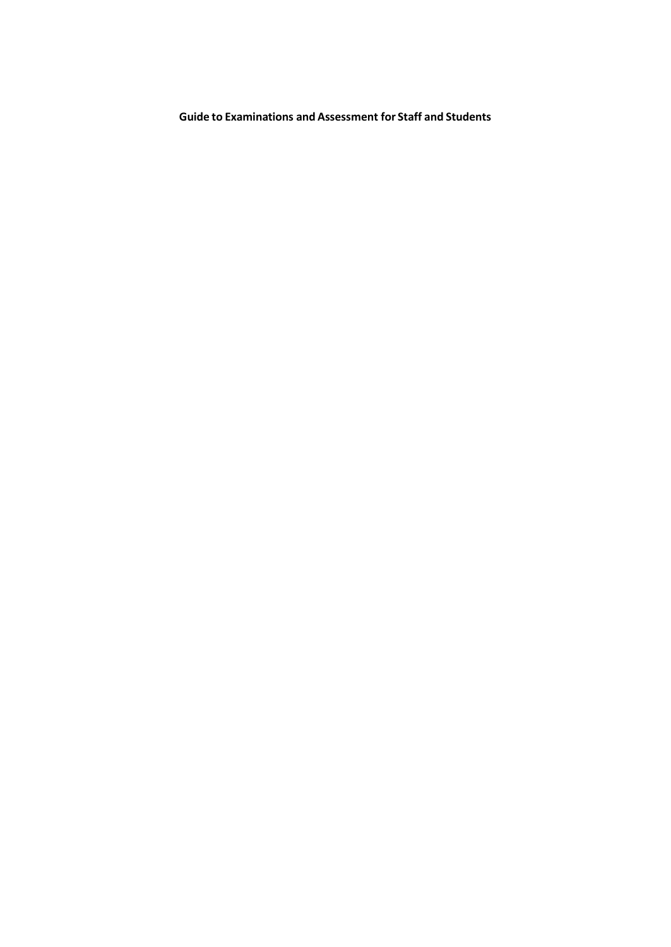**Guide to Examinations and Assessment for Staff and Students**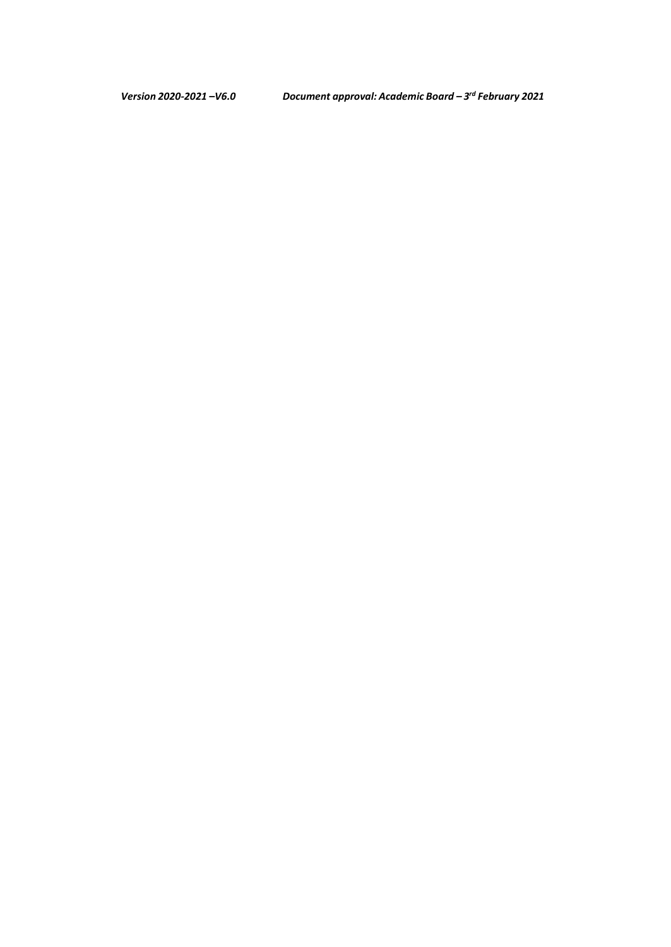*Version 2020-2021 –V6.0 Document approval: Academic Board – 3rd February 2021*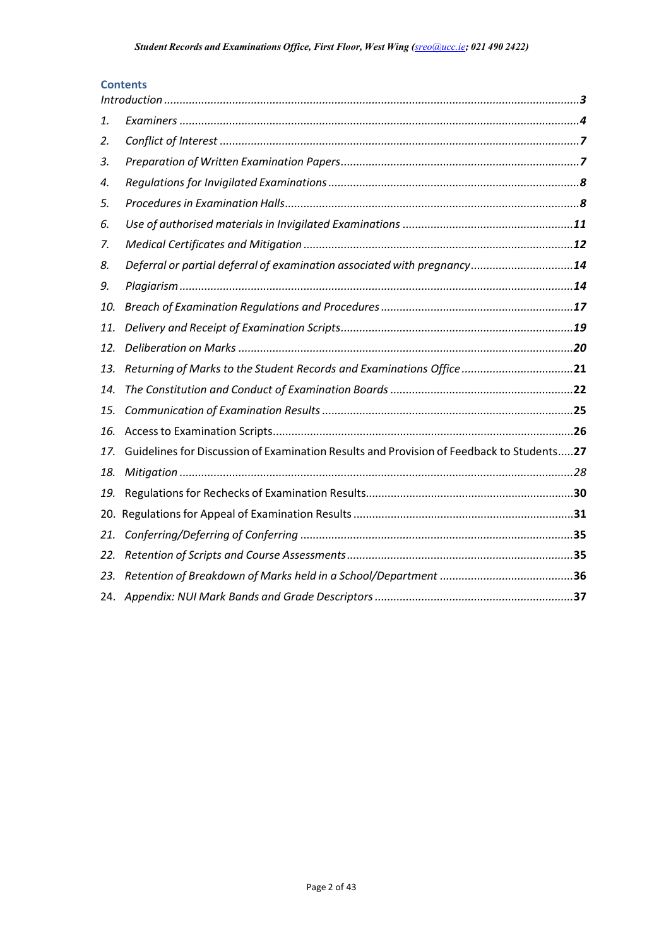## **Contents**

| 1.  |                                                                                          |  |
|-----|------------------------------------------------------------------------------------------|--|
| 2.  |                                                                                          |  |
| 3.  |                                                                                          |  |
| 4.  |                                                                                          |  |
| 5.  |                                                                                          |  |
| 6.  |                                                                                          |  |
| 7.  |                                                                                          |  |
| 8.  | Deferral or partial deferral of examination associated with pregnancy14                  |  |
| 9.  |                                                                                          |  |
| 10. |                                                                                          |  |
| 11. |                                                                                          |  |
| 12. |                                                                                          |  |
| 13. | Returning of Marks to the Student Records and Examinations Office 21                     |  |
| 14. |                                                                                          |  |
| 15. |                                                                                          |  |
| 16. |                                                                                          |  |
| 17. | Guidelines for Discussion of Examination Results and Provision of Feedback to Students27 |  |
| 18. |                                                                                          |  |
| 19. |                                                                                          |  |
| 20. |                                                                                          |  |
| 21. |                                                                                          |  |
| 22. |                                                                                          |  |
| 23. |                                                                                          |  |
|     |                                                                                          |  |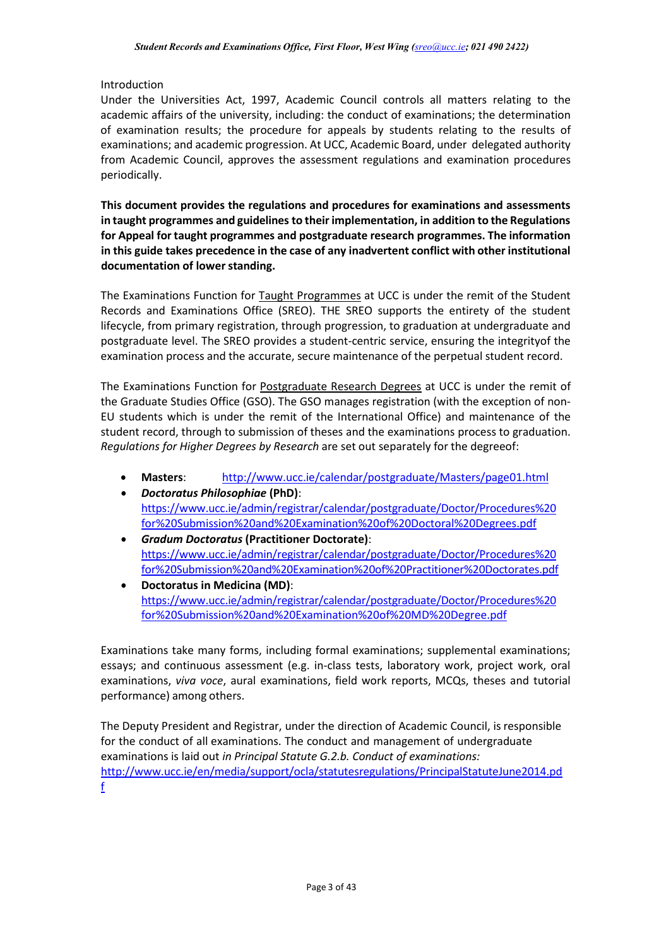## <span id="page-3-0"></span>Introduction

Under the Universities Act, 1997, Academic Council controls all matters relating to the academic affairs of the university, including: the conduct of examinations; the determination of examination results; the procedure for appeals by students relating to the results of examinations; and academic progression. At UCC, Academic Board, under delegated authority from Academic Council, approves the assessment regulations and examination procedures periodically.

**This document provides the regulations and procedures for examinations and assessments in taught programmes and guidelines to their implementation, in addition to the Regulations for Appeal for taught programmes and postgraduate research programmes. The information in this guide takes precedence in the case of any inadvertent conflict with other institutional documentation of lowerstanding.**

The Examinations Function for Taught Programmes at UCC is under the remit of the Student Records and Examinations Office (SREO). THE SREO supports the entirety of the student lifecycle, from primary registration, through progression, to graduation at undergraduate and postgraduate level. The SREO provides a student-centric service, ensuring the integrityof the examination process and the accurate, secure maintenance of the perpetual student record.

The Examinations Function for Postgraduate Research Degrees at UCC is under the remit of the Graduate Studies Office (GSO). The GSO manages registration (with the exception of non-EU students which is under the remit of the International Office) and maintenance of the student record, through to submission of theses and the examinations process to graduation. *Regulations for Higher Degrees by Research* are set out separately for the degreeof:

- **Masters**: <http://www.ucc.ie/calendar/postgraduate/Masters/page01.html>
- *Doctoratus Philosophiae* **(PhD)**: [https://www.ucc.ie/admin/registrar/calendar/postgraduate/Doctor/Procedures%20](https://www.ucc.ie/admin/registrar/calendar/postgraduate/Doctor/Procedures%20for%20Submission%20and%20Examination%20of%20Doctoral%20Degrees.pdf) [for%20Submission%20and%20Examination%20of%20Doctoral%20Degrees.pdf](https://www.ucc.ie/admin/registrar/calendar/postgraduate/Doctor/Procedures%20for%20Submission%20and%20Examination%20of%20Doctoral%20Degrees.pdf)
- *Gradum Doctoratus* **(Practitioner Doctorate)**: [https://www.ucc.ie/admin/registrar/calendar/postgraduate/Doctor/Procedures%20](https://www.ucc.ie/admin/registrar/calendar/postgraduate/Doctor/Procedures%20for%20Submission%20and%20Examination%20of%20Practitioner%20Doctorates.pdf) [for%20Submission%20and%20Examination%20of%20Practitioner%20Doctorates.pdf](https://www.ucc.ie/admin/registrar/calendar/postgraduate/Doctor/Procedures%20for%20Submission%20and%20Examination%20of%20Practitioner%20Doctorates.pdf)
- **Doctoratus in Medicina (MD)**: [https://www.ucc.ie/admin/registrar/calendar/postgraduate/Doctor/Procedures%20](https://www.ucc.ie/admin/registrar/calendar/postgraduate/Doctor/Procedures%20for%20Submission%20and%20Examination%20of%20MD%20Degree.pdf) [for%20Submission%20and%20Examination%20of%20MD%20Degree.pdf](https://www.ucc.ie/admin/registrar/calendar/postgraduate/Doctor/Procedures%20for%20Submission%20and%20Examination%20of%20MD%20Degree.pdf)

Examinations take many forms, including formal examinations; supplemental examinations; essays; and continuous assessment (e.g. in-class tests, laboratory work, project work, oral examinations, *viva voce*, aural examinations, field work reports, MCQs, theses and tutorial performance) among others.

The Deputy President and Registrar, under the direction of Academic Council, isresponsible for the conduct of all examinations. The conduct and management of undergraduate examinations is laid out *in Principal Statute G.2.b. Conduct of examinations:* [http://www.ucc.ie/en/media/support/ocla/statutesregulations/PrincipalStatuteJune2014.pd](http://www.ucc.ie/en/media/support/ocla/statutesregulations/PrincipalStatuteJune2014.pdf) [f](http://www.ucc.ie/en/media/support/ocla/statutesregulations/PrincipalStatuteJune2014.pdf)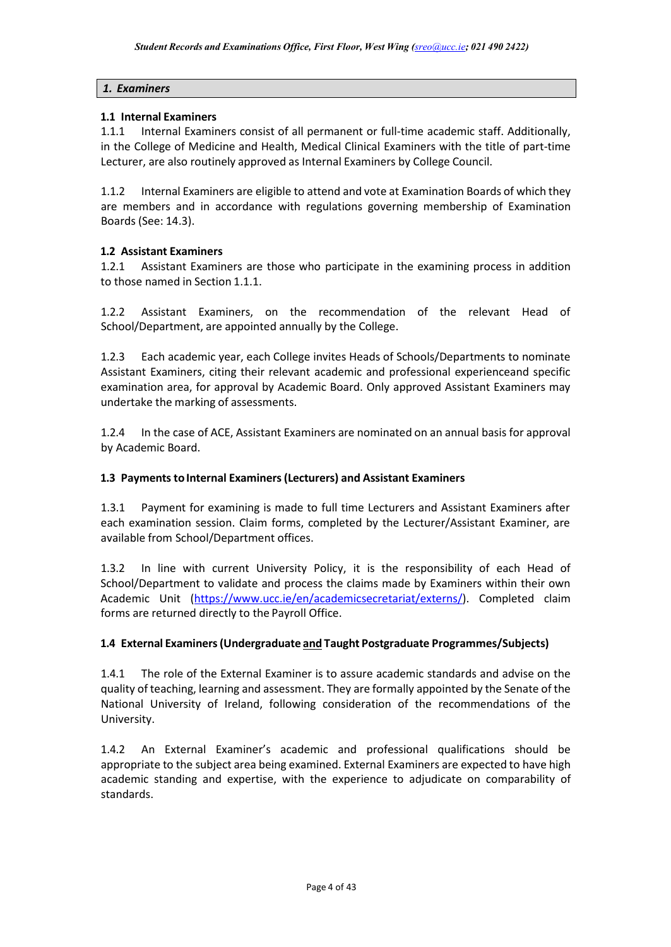### *1. Examiners*

### **1.1 Internal Examiners**

1.1.1 Internal Examiners consist of all permanent or full-time academic staff. Additionally, in the College of Medicine and Health, Medical Clinical Examiners with the title of part-time Lecturer, are also routinely approved as Internal Examiners by College Council.

1.1.2 Internal Examiners are eligible to attend and vote at Examination Boards of which they are members and in accordance with regulations governing membership of Examination Boards (See: 14.3).

## **1.2 Assistant Examiners**

1.2.1 Assistant Examiners are those who participate in the examining process in addition to those named in Section 1.1.1.

1.2.2 Assistant Examiners, on the recommendation of the relevant Head of School/Department, are appointed annually by the College.

1.2.3 Each academic year, each College invites Heads of Schools/Departments to nominate Assistant Examiners, citing their relevant academic and professional experienceand specific examination area, for approval by Academic Board. Only approved Assistant Examiners may undertake the marking of assessments.

1.2.4 In the case of ACE, Assistant Examiners are nominated on an annual basis for approval by Academic Board.

### **1.3 Payments to Internal Examiners (Lecturers) and Assistant Examiners**

1.3.1 Payment for examining is made to full time Lecturers and Assistant Examiners after each examination session. Claim forms, completed by the Lecturer/Assistant Examiner, are available from School/Department offices.

1.3.2 In line with current University Policy, it is the responsibility of each Head of School/Department to validate and process the claims made by Examiners within their own Academic Unit [\(https://www.ucc.ie/en/academicsecretariat/externs/\)](https://www.ucc.ie/en/academicsecretariat/externs/). Completed claim forms are returned directly to the Payroll Office.

### **1.4 External Examiners(Undergraduate and Taught Postgraduate Programmes/Subjects)**

1.4.1 The role of the External Examiner is to assure academic standards and advise on the quality of teaching, learning and assessment. They are formally appointed by the Senate of the National University of Ireland, following consideration of the recommendations of the University.

1.4.2 An External Examiner's academic and professional qualifications should be appropriate to the subject area being examined. External Examiners are expected to have high academic standing and expertise, with the experience to adjudicate on comparability of standards.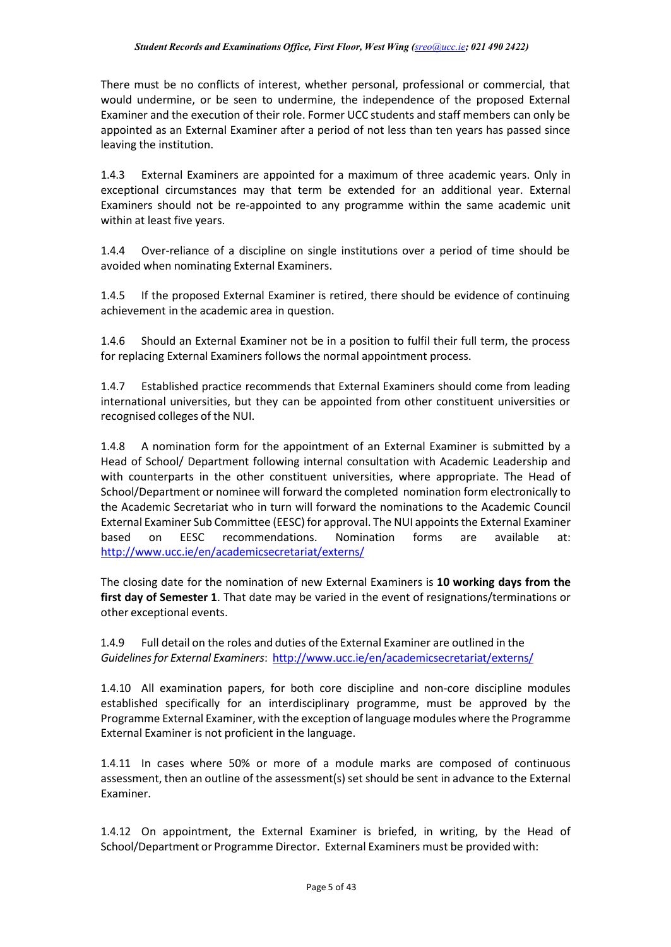There must be no conflicts of interest, whether personal, professional or commercial, that would undermine, or be seen to undermine, the independence of the proposed External Examiner and the execution of their role. Former UCC students and staff members can only be appointed as an External Examiner after a period of not less than ten years has passed since leaving the institution.

1.4.3 External Examiners are appointed for a maximum of three academic years. Only in exceptional circumstances may that term be extended for an additional year. External Examiners should not be re-appointed to any programme within the same academic unit within at least five years.

1.4.4 Over-reliance of a discipline on single institutions over a period of time should be avoided when nominating External Examiners.

1.4.5 If the proposed External Examiner is retired, there should be evidence of continuing achievement in the academic area in question.

1.4.6 Should an External Examiner not be in a position to fulfil their full term, the process for replacing External Examiners follows the normal appointment process.

1.4.7 Established practice recommends that External Examiners should come from leading international universities, but they can be appointed from other constituent universities or recognised colleges of the NUI.

1.4.8 A nomination form for the appointment of an External Examiner is submitted by a Head of School/ Department following internal consultation with Academic Leadership and with counterparts in the other constituent universities, where appropriate. The Head of School/Department or nominee will forward the completed nomination form electronically to the Academic Secretariat who in turn will forward the nominations to the Academic Council External Examiner Sub Committee (EESC) for approval. The NUI appoints the External Examiner based on EESC recommendations. Nomination forms are available at: <http://www.ucc.ie/en/academicsecretariat/externs/>

The closing date for the nomination of new External Examiners is **10 working days from the first day of Semester 1**. That date may be varied in the event of resignations/terminations or other exceptional events.

1.4.9 Full detail on the roles and duties of the External Examiner are outlined in the *Guidelinesfor External Examiners*: <http://www.ucc.ie/en/academicsecretariat/externs/>

1.4.10 All examination papers, for both core discipline and non-core discipline modules established specifically for an interdisciplinary programme, must be approved by the Programme External Examiner, with the exception of language modules where the Programme External Examiner is not proficient in the language.

1.4.11 In cases where 50% or more of a module marks are composed of continuous assessment, then an outline of the assessment(s) set should be sent in advance to the External Examiner.

1.4.12 On appointment, the External Examiner is briefed, in writing, by the Head of School/Department or Programme Director. External Examiners must be provided with: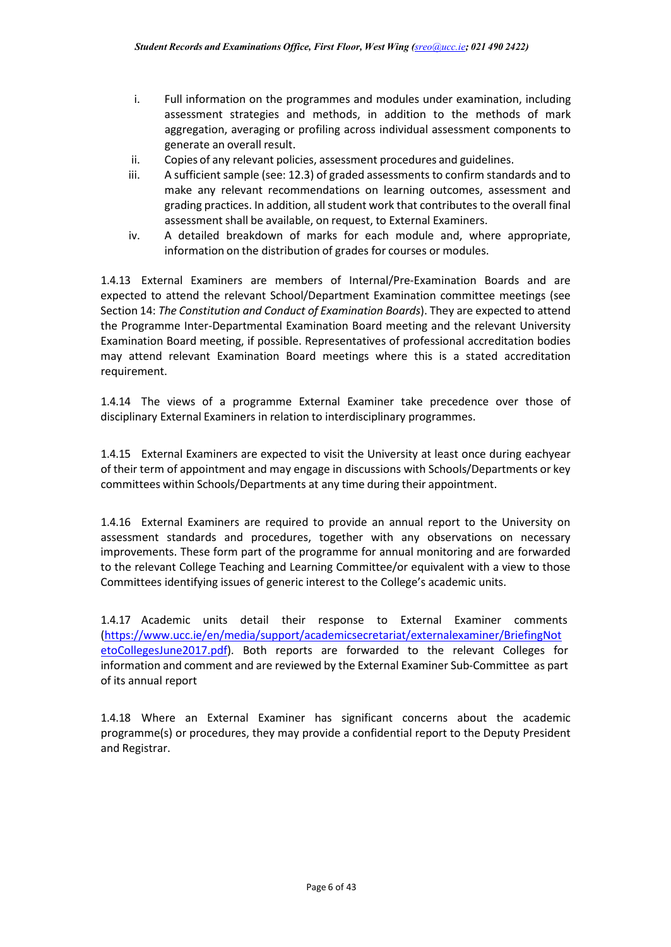- i. Full information on the programmes and modules under examination, including assessment strategies and methods, in addition to the methods of mark aggregation, averaging or profiling across individual assessment components to generate an overall result.
- ii. Copies of any relevant policies, assessment procedures and guidelines.
- iii. A sufficient sample (see: 12.3) of graded assessments to confirm standards and to make any relevant recommendations on learning outcomes, assessment and grading practices. In addition, all student work that contributes to the overall final assessment shall be available, on request, to External Examiners.
- iv. A detailed breakdown of marks for each module and, where appropriate, information on the distribution of grades for courses or modules.

1.4.13 External Examiners are members of Internal/Pre-Examination Boards and are expected to attend the relevant School/Department Examination committee meetings (see Section 14: *The Constitution and Conduct of Examination Boards*). They are expected to attend the Programme Inter-Departmental Examination Board meeting and the relevant University Examination Board meeting, if possible. Representatives of professional accreditation bodies may attend relevant Examination Board meetings where this is a stated accreditation requirement.

1.4.14 The views of a programme External Examiner take precedence over those of disciplinary External Examiners in relation to interdisciplinary programmes.

1.4.15 External Examiners are expected to visit the University at least once during eachyear of their term of appointment and may engage in discussions with Schools/Departments or key committees within Schools/Departments at any time during their appointment.

1.4.16 External Examiners are required to provide an annual report to the University on assessment standards and procedures, together with any observations on necessary improvements. These form part of the programme for annual monitoring and are forwarded to the relevant College Teaching and Learning Committee/or equivalent with a view to those Committees identifying issues of generic interest to the College's academic units.

1.4.17 Academic units detail their response to External Examiner comments [\(https://www.ucc.ie/en/media/support/academicsecretariat/externalexaminer/BriefingNot](https://www.ucc.ie/en/media/support/academicsecretariat/externalexaminer/BriefingNotetoCollegesJune2017.pdf) [etoCollegesJune2017.pdf\)](https://www.ucc.ie/en/media/support/academicsecretariat/externalexaminer/BriefingNotetoCollegesJune2017.pdf). Both reports are forwarded to the relevant Colleges for information and comment and are reviewed by the External Examiner Sub-Committee as part of its annual report

1.4.18 Where an External Examiner has significant concerns about the academic programme(s) or procedures, they may provide a confidential report to the Deputy President and Registrar.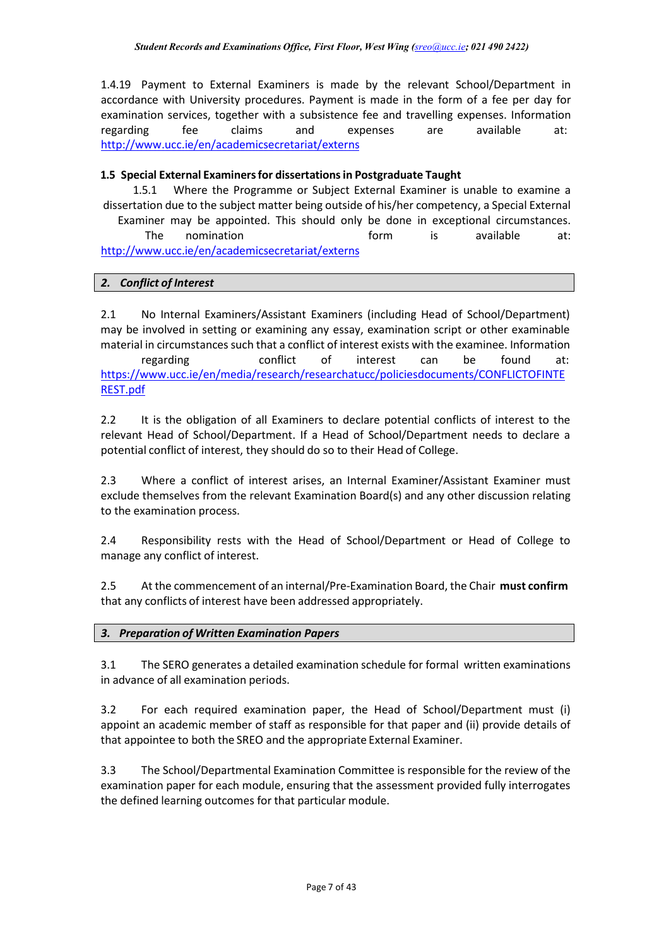1.4.19 Payment to External Examiners is made by the relevant School/Department in accordance with University procedures. Payment is made in the form of a fee per day for examination services, together with a subsistence fee and travelling expenses. Information regarding fee claims and expenses are available at: <http://www.ucc.ie/en/academicsecretariat/externs>

## **1.5 Special External Examinersfor dissertationsin Postgraduate Taught**

1.5.1 Where the Programme or Subject External Examiner is unable to examine a dissertation due to the subject matter being outside of his/her competency, a Special External Examiner may be appointed. This should only be done in exceptional circumstances. The nomination and the form is available at: <http://www.ucc.ie/en/academicsecretariat/externs>

# <span id="page-7-0"></span>*2. Conflict of Interest*

2.1 No Internal Examiners/Assistant Examiners (including Head of School/Department) may be involved in setting or examining any essay, examination script or other examinable material in circumstances such that a conflict of interest exists with the examinee. Information regarding conflict of interest can be found at: [https://www.ucc.ie/en/media/research/researchatucc/policiesdocuments/CONFLICTOFINTE](https://www.ucc.ie/en/media/research/researchatucc/policiesdocuments/CONFLICTOFINTEREST.pdf) [REST.pdf](https://www.ucc.ie/en/media/research/researchatucc/policiesdocuments/CONFLICTOFINTEREST.pdf)

2.2 It is the obligation of all Examiners to declare potential conflicts of interest to the relevant Head of School/Department. If a Head of School/Department needs to declare a potential conflict of interest, they should do so to their Head of College.

2.3 Where a conflict of interest arises, an Internal Examiner/Assistant Examiner must exclude themselves from the relevant Examination Board(s) and any other discussion relating to the examination process.

2.4 Responsibility rests with the Head of School/Department or Head of College to manage any conflict of interest.

2.5 At the commencement of an internal/Pre-Examination Board, the Chair **must confirm** that any conflicts of interest have been addressed appropriately.

## <span id="page-7-1"></span>*3. Preparation of Written Examination Papers*

3.1 The SERO generates a detailed examination schedule for formal written examinations in advance of all examination periods.

3.2 For each required examination paper, the Head of School/Department must (i) appoint an academic member of staff as responsible for that paper and (ii) provide details of that appointee to both the SREO and the appropriate External Examiner.

3.3 The School/Departmental Examination Committee is responsible for the review of the examination paper for each module, ensuring that the assessment provided fully interrogates the defined learning outcomes for that particular module.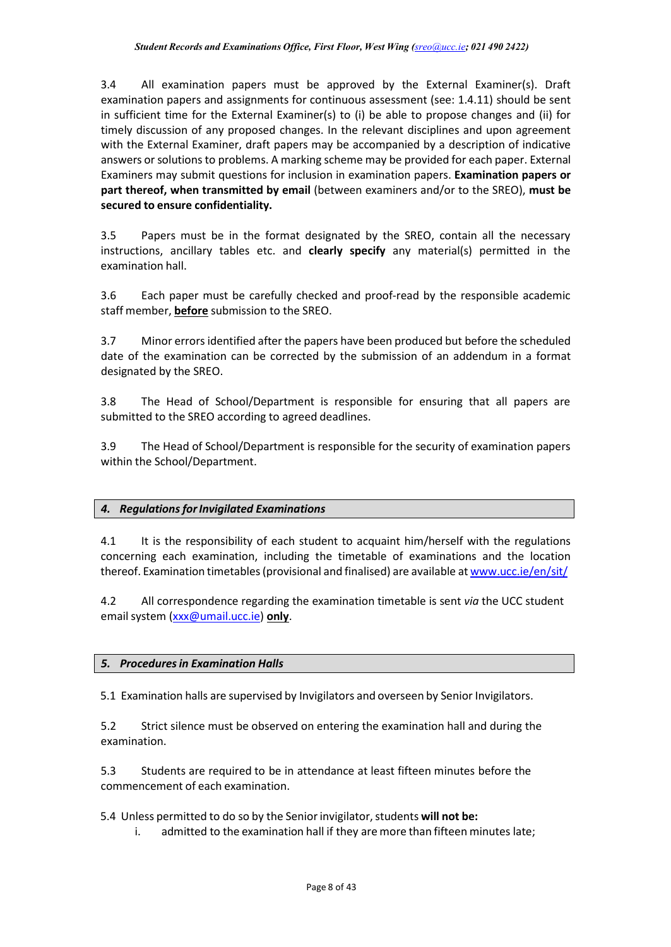3.4 All examination papers must be approved by the External Examiner(s). Draft examination papers and assignments for continuous assessment (see: 1.4.11) should be sent in sufficient time for the External Examiner(s) to (i) be able to propose changes and (ii) for timely discussion of any proposed changes. In the relevant disciplines and upon agreement with the External Examiner, draft papers may be accompanied by a description of indicative answers orsolutions to problems. A marking scheme may be provided for each paper. External Examiners may submit questions for inclusion in examination papers. **Examination papers or part thereof, when transmitted by email** (between examiners and/or to the SREO), **must be secured to ensure confidentiality.**

3.5 Papers must be in the format designated by the SREO, contain all the necessary instructions, ancillary tables etc. and **clearly specify** any material(s) permitted in the examination hall.

3.6 Each paper must be carefully checked and proof-read by the responsible academic staff member, **before** submission to the SREO.

3.7 Minor errors identified after the papers have been produced but before the scheduled date of the examination can be corrected by the submission of an addendum in a format designated by the SREO.

3.8 The Head of School/Department is responsible for ensuring that all papers are submitted to the SREO according to agreed deadlines.

3.9 The Head of School/Department is responsible for the security of examination papers within the School/Department.

## <span id="page-8-0"></span>*4. RegulationsforInvigilated Examinations*

4.1 It is the responsibility of each student to acquaint him/herself with the regulations concerning each examination, including the timetable of examinations and the location thereof. Examination timetables (provisional and finalised) are available at [www.ucc.ie/en/sit/](http://www.ucc.ie/en/sit/)

4.2 All correspondence regarding the examination timetable is sent *via* the UCC student emailsystem [\(xxx@umail.ucc.ie\)](mailto:xxx@umail.ucc.ie) **only**.

## <span id="page-8-1"></span>*5. Proceduresin Examination Halls*

5.1 Examination halls are supervised by Invigilators and overseen by Senior Invigilators.

5.2 Strict silence must be observed on entering the examination hall and during the examination.

5.3 Students are required to be in attendance at least fifteen minutes before the commencement of each examination.

5.4 Unless permitted to do so by the Seniorinvigilator,students **will not be:**

i. admitted to the examination hall if they are more than fifteen minutes late;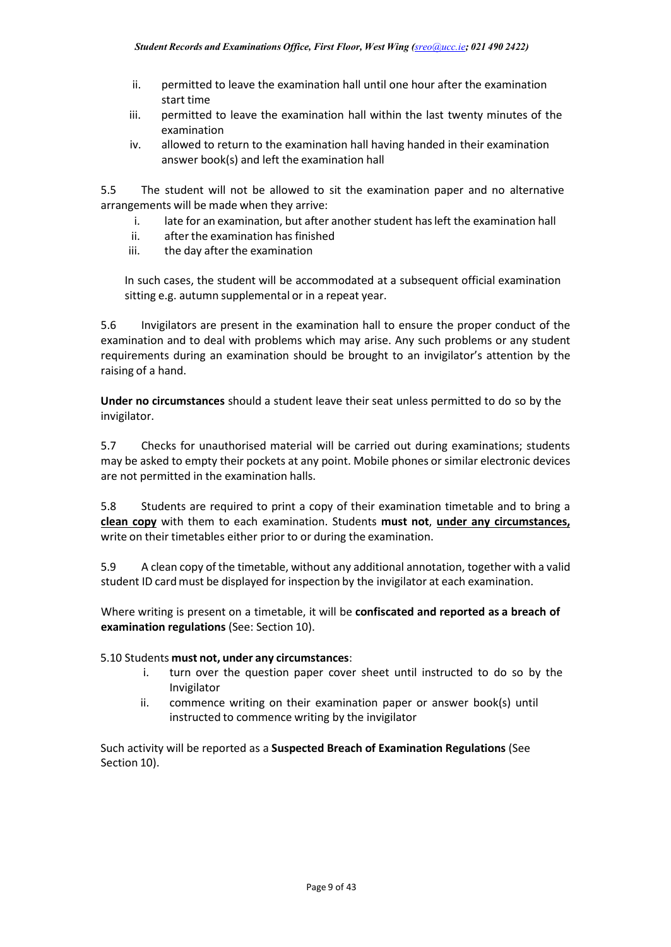- ii. permitted to leave the examination hall until one hour after the examination start time
- iii. permitted to leave the examination hall within the last twenty minutes of the examination
- iv. allowed to return to the examination hall having handed in their examination answer book(s) and left the examination hall

5.5 The student will not be allowed to sit the examination paper and no alternative arrangements will be made when they arrive:

- i. late for an examination, but after another student hasleft the examination hall
- ii. after the examination has finished
- iii. the day after the examination

In such cases, the student will be accommodated at a subsequent official examination sitting e.g. autumn supplemental or in a repeat year.

5.6 Invigilators are present in the examination hall to ensure the proper conduct of the examination and to deal with problems which may arise. Any such problems or any student requirements during an examination should be brought to an invigilator's attention by the raising of a hand.

**Under no circumstances** should a student leave their seat unless permitted to do so by the invigilator.

5.7 Checks for unauthorised material will be carried out during examinations; students may be asked to empty their pockets at any point. Mobile phones or similar electronic devices are not permitted in the examination halls.

5.8 Students are required to print a copy of their examination timetable and to bring a **clean copy** with them to each examination. Students **must not**, **under any circumstances,** write on their timetables either prior to or during the examination.

5.9 A clean copy of the timetable, without any additional annotation, together with a valid student ID card must be displayed for inspection by the invigilator at each examination.

Where writing is present on a timetable, it will be **confiscated and reported as a breach of examination regulations** (See: Section 10).

### 5.10 Students **must not, under any circumstances**:

- i. turn over the question paper cover sheet until instructed to do so by the Invigilator
- ii. commence writing on their examination paper or answer book(s) until instructed to commence writing by the invigilator

Such activity will be reported as a **Suspected Breach of Examination Regulations** (See Section 10).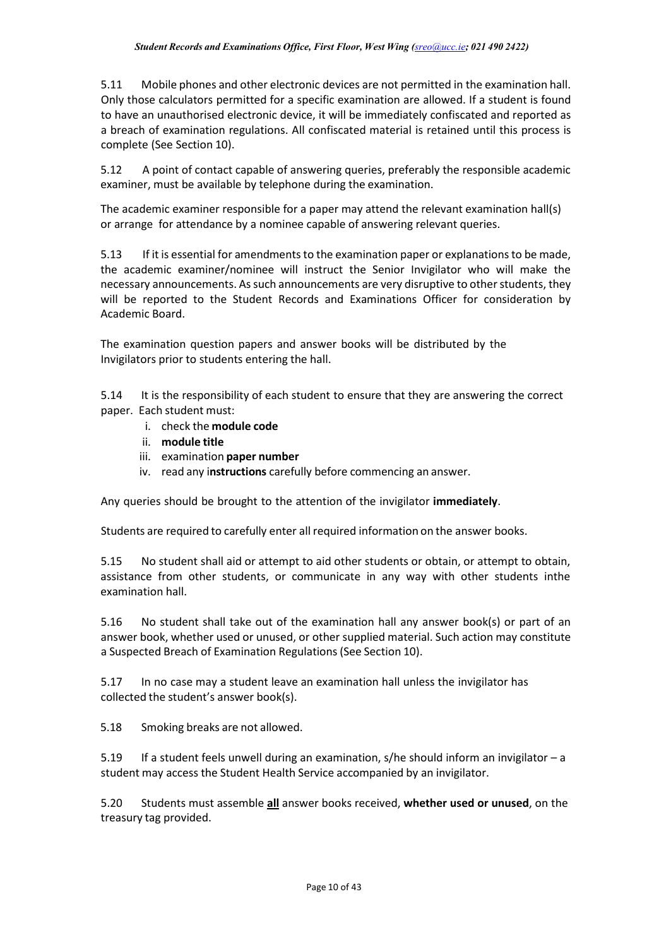5.11 Mobile phones and other electronic devices are not permitted in the examination hall. Only those calculators permitted for a specific examination are allowed. If a student is found to have an unauthorised electronic device, it will be immediately confiscated and reported as a breach of examination regulations. All confiscated material is retained until this process is complete (See Section 10).

5.12 A point of contact capable of answering queries, preferably the responsible academic examiner, must be available by telephone during the examination.

The academic examiner responsible for a paper may attend the relevant examination hall(s) or arrange for attendance by a nominee capable of answering relevant queries.

5.13 If it is essential for amendments to the examination paper or explanations to be made, the academic examiner/nominee will instruct the Senior Invigilator who will make the necessary announcements. As such announcements are very disruptive to other students, they will be reported to the Student Records and Examinations Officer for consideration by Academic Board.

The examination question papers and answer books will be distributed by the Invigilators prior to students entering the hall.

5.14 It is the responsibility of each student to ensure that they are answering the correct paper. Each student must:

- i. check the **module code**
- ii. **module title**
- iii. examination **paper number**
- iv. read any i**nstructions** carefully before commencing an answer.

Any queries should be brought to the attention of the invigilator **immediately**.

Students are required to carefully enter all required information on the answer books.

5.15 No student shall aid or attempt to aid other students or obtain, or attempt to obtain, assistance from other students, or communicate in any way with other students inthe examination hall.

5.16 No student shall take out of the examination hall any answer book(s) or part of an answer book, whether used or unused, or other supplied material. Such action may constitute a Suspected Breach of Examination Regulations (See Section 10).

5.17 In no case may a student leave an examination hall unless the invigilator has collected the student's answer book(s).

5.18 Smoking breaks are not allowed.

5.19 If a student feels unwell during an examination, s/he should inform an invigilator – a student may access the Student Health Service accompanied by an invigilator.

5.20 Students must assemble **all** answer books received, **whether used or unused**, on the treasury tag provided.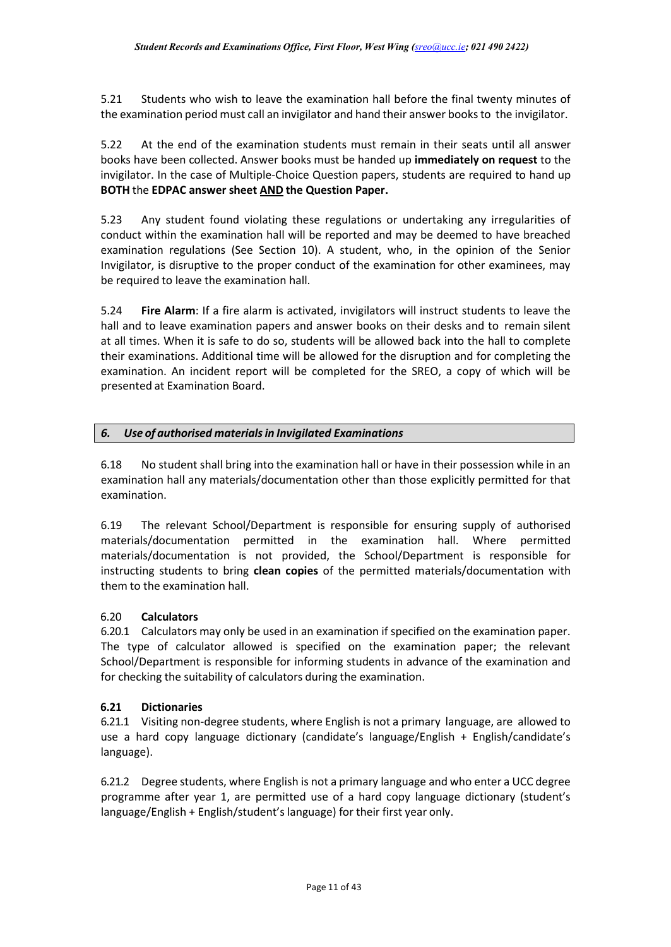5.21 Students who wish to leave the examination hall before the final twenty minutes of the examination period must call an invigilator and hand their answer books to the invigilator.

5.22 At the end of the examination students must remain in their seats until all answer books have been collected. Answer books must be handed up **immediately on request** to the invigilator. In the case of Multiple-Choice Question papers, students are required to hand up **BOTH** the **EDPAC answer sheet AND the Question Paper.**

5.23 Any student found violating these regulations or undertaking any irregularities of conduct within the examination hall will be reported and may be deemed to have breached examination regulations (See Section 10). A student, who, in the opinion of the Senior Invigilator, is disruptive to the proper conduct of the examination for other examinees, may be required to leave the examination hall.

5.24 **Fire Alarm**: If a fire alarm is activated, invigilators will instruct students to leave the hall and to leave examination papers and answer books on their desks and to remain silent at all times. When it is safe to do so, students will be allowed back into the hall to complete their examinations. Additional time will be allowed for the disruption and for completing the examination. An incident report will be completed for the SREO, a copy of which will be presented at Examination Board.

## <span id="page-11-0"></span>*6. Use of authorised materialsin Invigilated Examinations*

6.18 No student shall bring into the examination hall or have in their possession while in an examination hall any materials/documentation other than those explicitly permitted for that examination.

6.19 The relevant School/Department is responsible for ensuring supply of authorised materials/documentation permitted in the examination hall. Where permitted materials/documentation is not provided, the School/Department is responsible for instructing students to bring **clean copies** of the permitted materials/documentation with them to the examination hall.

### 6.20 **Calculators**

6.20.1 Calculators may only be used in an examination if specified on the examination paper. The type of calculator allowed is specified on the examination paper; the relevant School/Department is responsible for informing students in advance of the examination and for checking the suitability of calculators during the examination.

## **6.21 Dictionaries**

6.21.1 Visiting non-degree students, where English is not a primary language, are allowed to use a hard copy language dictionary (candidate's language/English + English/candidate's language).

6.21.2 Degree students, where English is not a primary language and who enter a UCC degree programme after year 1, are permitted use of a hard copy language dictionary (student's language/English + English/student's language) for their first year only.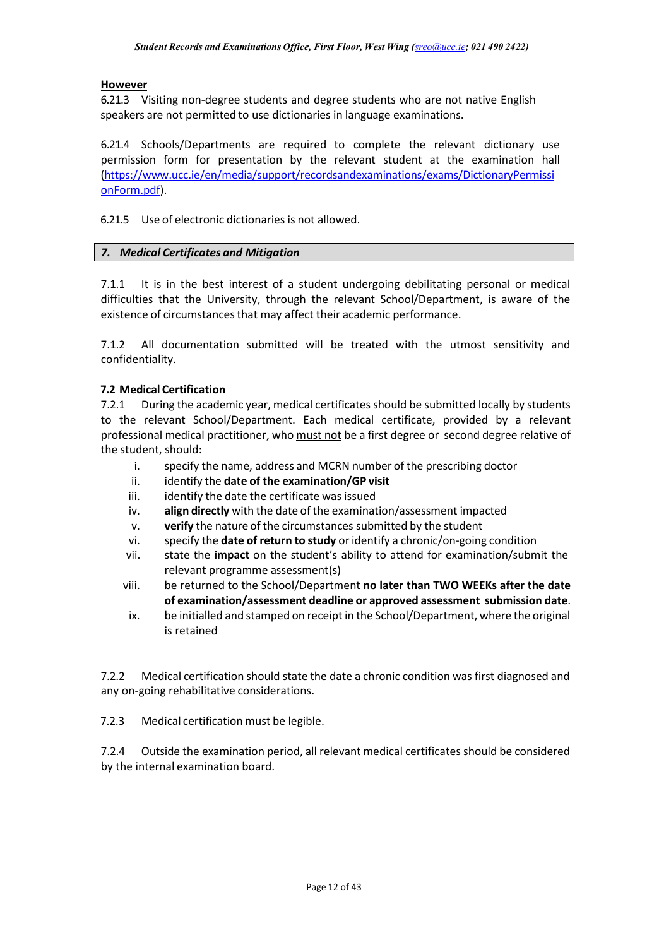### **However**

6.21.3 Visiting non-degree students and degree students who are not native English speakers are not permitted to use dictionaries in language examinations.

6.21.4 Schools/Departments are required to complete the relevant dictionary use permission form for presentation by the relevant student at the examination hall [\(https://www.ucc.ie/en/media/support/recordsandexaminations/exams/DictionaryPermissi](https://www.ucc.ie/en/media/support/recordsandexaminations/exams/DictionaryPermissionForm.pdf) [onForm.pdf\)](https://www.ucc.ie/en/media/support/recordsandexaminations/exams/DictionaryPermissionForm.pdf).

6.21.5 Use of electronic dictionaries is not allowed.

#### <span id="page-12-0"></span>*7. Medical Certificates and Mitigation*

7.1.1 It is in the best interest of a student undergoing debilitating personal or medical difficulties that the University, through the relevant School/Department, is aware of the existence of circumstances that may affect their academic performance.

7.1.2 All documentation submitted will be treated with the utmost sensitivity and confidentiality.

#### **7.2 Medical Certification**

7.2.1 During the academic year, medical certificates should be submitted locally by students to the relevant School/Department. Each medical certificate, provided by a relevant professional medical practitioner, who must not be a first degree or second degree relative of the student, should:

- i. specify the name, address and MCRN number of the prescribing doctor
- ii. identify the **date of the examination/GP visit**
- iii. identify the date the certificate was issued
- iv. **align directly** with the date of the examination/assessment impacted
- v. **verify** the nature of the circumstances submitted by the student
- vi. specify the **date of return to study** oridentify a chronic/on-going condition
- vii. state the **impact** on the student's ability to attend for examination/submit the relevant programme assessment(s)
- viii. be returned to the School/Department **no later than TWO WEEKs after the date of examination/assessment deadline or approved assessment submission date**.
- ix. be initialled and stamped on receipt in the School/Department, where the original is retained

7.2.2 Medical certification should state the date a chronic condition was first diagnosed and any on-going rehabilitative considerations.

7.2.3 Medical certification must be legible.

7.2.4 Outside the examination period, all relevant medical certificates should be considered by the internal examination board.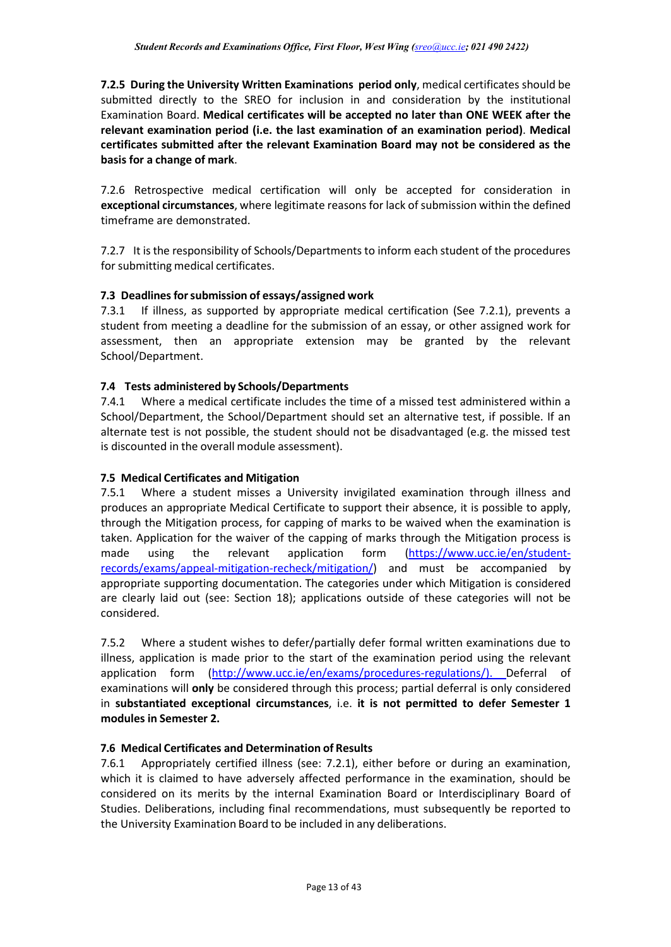**7.2.5 During the University Written Examinations period only**, medical certificates should be submitted directly to the SREO for inclusion in and consideration by the institutional Examination Board. **Medical certificates will be accepted no later than ONE WEEK after the relevant examination period (i.e. the last examination of an examination period)**. **Medical certificates submitted after the relevant Examination Board may not be considered as the basis for a change of mark**.

7.2.6 Retrospective medical certification will only be accepted for consideration in **exceptional circumstances**, where legitimate reasons for lack of submission within the defined timeframe are demonstrated.

7.2.7 It is the responsibility of Schools/Departments to inform each student of the procedures for submitting medical certificates.

## **7.3 Deadlinesforsubmission of essays/assigned work**

7.3.1 If illness, as supported by appropriate medical certification (See 7.2.1), prevents a student from meeting a deadline for the submission of an essay, or other assigned work for assessment, then an appropriate extension may be granted by the relevant School/Department.

## **7.4 Tests administered by Schools/Departments**

7.4.1 Where a medical certificate includes the time of a missed test administered within a School/Department, the School/Department should set an alternative test, if possible. If an alternate test is not possible, the student should not be disadvantaged (e.g. the missed test is discounted in the overall module assessment).

### **7.5 Medical Certificates and Mitigation**

7.5.1 Where a student misses a University invigilated examination through illness and produces an appropriate Medical Certificate to support their absence, it is possible to apply, through the Mitigation process, for capping of marks to be waived when the examination is taken. Application for the waiver of the capping of marks through the Mitigation process is made using the relevant application form [\(https://www.ucc.ie/en/student](https://www.ucc.ie/en/student-records/exams/appeal-mitigation-recheck/mitigation/)[records/exams/appeal-mitigation-recheck/mitigation/\)](https://www.ucc.ie/en/student-records/exams/appeal-mitigation-recheck/mitigation/) and must be accompanied by appropriate supporting documentation. The categories under which Mitigation is considered are clearly laid out (see: Section 18); applications outside of these categories will not be considered.

7.5.2 Where a student wishes to defer/partially defer formal written examinations due to illness, application is made prior to the start of the examination period using the relevant application form [\(http://www.ucc.ie/en/exams/procedures-regulations/\)](http://www.ucc.ie/en/exams/procedures-regulations/). Deferral of examinations will **only** be considered through this process; partial deferral is only considered in **substantiated exceptional circumstances**, i.e. **it is not permitted to defer Semester 1 modules in Semester 2.**

### **7.6 Medical Certificates and Determination of Results**

7.6.1 Appropriately certified illness (see: 7.2.1), either before or during an examination, which it is claimed to have adversely affected performance in the examination, should be considered on its merits by the internal Examination Board or Interdisciplinary Board of Studies. Deliberations, including final recommendations, must subsequently be reported to the University Examination Board to be included in any deliberations.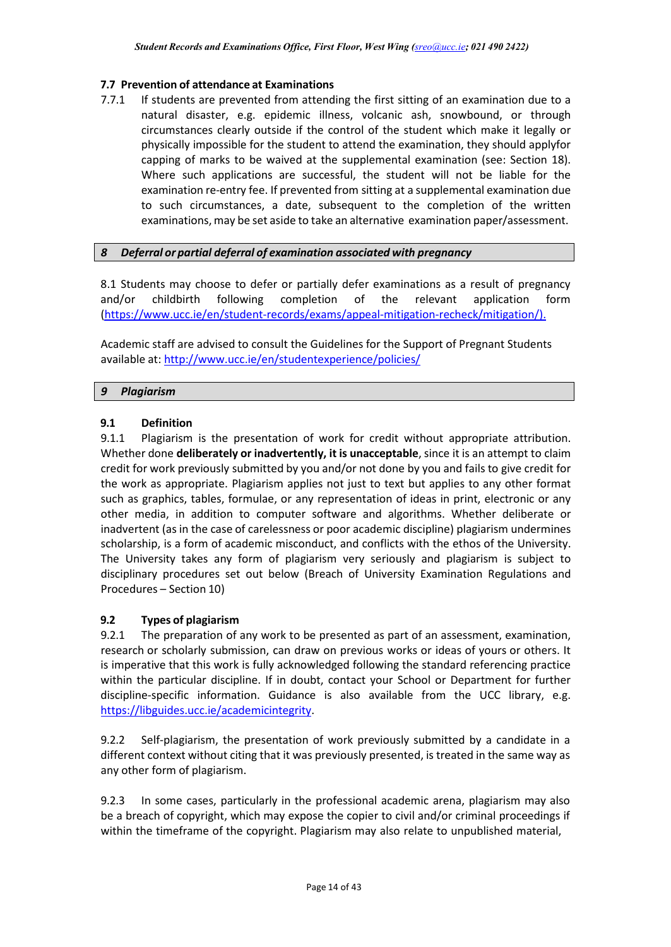### **7.7 Prevention of attendance at Examinations**

7.7.1 If students are prevented from attending the first sitting of an examination due to a natural disaster, e.g. epidemic illness, volcanic ash, snowbound, or through circumstances clearly outside if the control of the student which make it legally or physically impossible for the student to attend the examination, they should applyfor capping of marks to be waived at the supplemental examination (see: Section 18). Where such applications are successful, the student will not be liable for the examination re-entry fee. If prevented from sitting at a supplemental examination due to such circumstances, a date, subsequent to the completion of the written examinations,may be set aside to take an alternative examination paper/assessment.

## <span id="page-14-0"></span>*8 Deferral or partial deferral of examination associated with pregnancy*

8.1 Students may choose to defer or partially defer examinations as a result of pregnancy and/or childbirth following completion of the relevant application form [\(https://www.ucc.ie/en/student-records/exams/appeal-mitigation-recheck/mitigation/\)](https://www.ucc.ie/en/student-records/exams/appeal-mitigation-recheck/mitigation/).

Academic staff are advised to consult the Guidelines for the Support of Pregnant Students available at:<http://www.ucc.ie/en/studentexperience/policies/>

### <span id="page-14-1"></span>*9 Plagiarism*

## **9.1 Definition**

9.1.1 Plagiarism is the presentation of work for credit without appropriate attribution. Whether done **deliberately or inadvertently, it is unacceptable**, since it is an attempt to claim credit for work previously submitted by you and/or not done by you and fails to give credit for the work as appropriate. Plagiarism applies not just to text but applies to any other format such as graphics, tables, formulae, or any representation of ideas in print, electronic or any other media, in addition to computer software and algorithms. Whether deliberate or inadvertent (as in the case of carelessness or poor academic discipline) plagiarism undermines scholarship, is a form of academic misconduct, and conflicts with the ethos of the University. The University takes any form of plagiarism very seriously and plagiarism is subject to disciplinary procedures set out below (Breach of University Examination Regulations and Procedures – Section 10)

### **9.2 Types of plagiarism**

9.2.1 The preparation of any work to be presented as part of an assessment, examination, research or scholarly submission, can draw on previous works or ideas of yours or others. It is imperative that this work is fully acknowledged following the standard referencing practice within the particular discipline. If in doubt, contact your School or Department for further discipline-specific information. Guidance is also available from the UCC library, e.g. [https://libguides.ucc.ie/academicintegrity.](https://libguides.ucc.ie/academicintegrity)

9.2.2 Self-plagiarism, the presentation of work previously submitted by a candidate in a different context without citing that it was previously presented, is treated in the same way as any other form of plagiarism.

9.2.3 In some cases, particularly in the professional academic arena, plagiarism may also be a breach of copyright, which may expose the copier to civil and/or criminal proceedings if within the timeframe of the copyright. Plagiarism may also relate to unpublished material,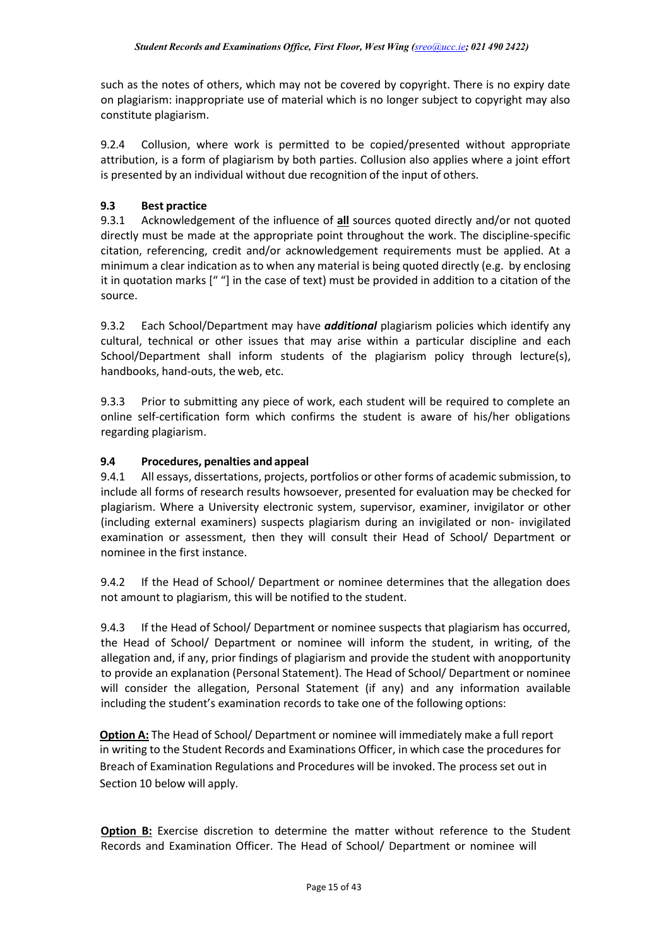such as the notes of others, which may not be covered by copyright. There is no expiry date on plagiarism: inappropriate use of material which is no longer subject to copyright may also constitute plagiarism.

9.2.4 Collusion, where work is permitted to be copied/presented without appropriate attribution, is a form of plagiarism by both parties. Collusion also applies where a joint effort is presented by an individual without due recognition of the input of others.

# **9.3 Best practice**

9.3.1 Acknowledgement of the influence of **all** sources quoted directly and/or not quoted directly must be made at the appropriate point throughout the work. The discipline-specific citation, referencing, credit and/or acknowledgement requirements must be applied. At a minimum a clear indication as to when any material is being quoted directly (e.g. by enclosing it in quotation marks [" "] in the case of text) must be provided in addition to a citation of the source.

9.3.2 Each School/Department may have *additional* plagiarism policies which identify any cultural, technical or other issues that may arise within a particular discipline and each School/Department shall inform students of the plagiarism policy through lecture(s), handbooks, hand-outs, the web, etc.

9.3.3 Prior to submitting any piece of work, each student will be required to complete an online self-certification form which confirms the student is aware of his/her obligations regarding plagiarism.

## **9.4 Procedures, penalties and appeal**

9.4.1 All essays, dissertations, projects, portfolios or other forms of academic submission, to include all forms of research results howsoever, presented for evaluation may be checked for plagiarism. Where a University electronic system, supervisor, examiner, invigilator or other (including external examiners) suspects plagiarism during an invigilated or non- invigilated examination or assessment, then they will consult their Head of School/ Department or nominee in the first instance.

9.4.2 If the Head of School/ Department or nominee determines that the allegation does not amount to plagiarism, this will be notified to the student.

9.4.3 If the Head of School/ Department or nominee suspects that plagiarism has occurred, the Head of School/ Department or nominee will inform the student, in writing, of the allegation and, if any, prior findings of plagiarism and provide the student with anopportunity to provide an explanation (Personal Statement). The Head of School/ Department or nominee will consider the allegation, Personal Statement (if any) and any information available including the student's examination records to take one of the following options:

**Option A:** The Head of School/ Department or nominee will immediately make a full report in writing to the Student Records and Examinations Officer, in which case the procedures for Breach of Examination Regulations and Procedures will be invoked. The process set out in Section 10 below will apply.

**Option B:** Exercise discretion to determine the matter without reference to the Student Records and Examination Officer. The Head of School/ Department or nominee will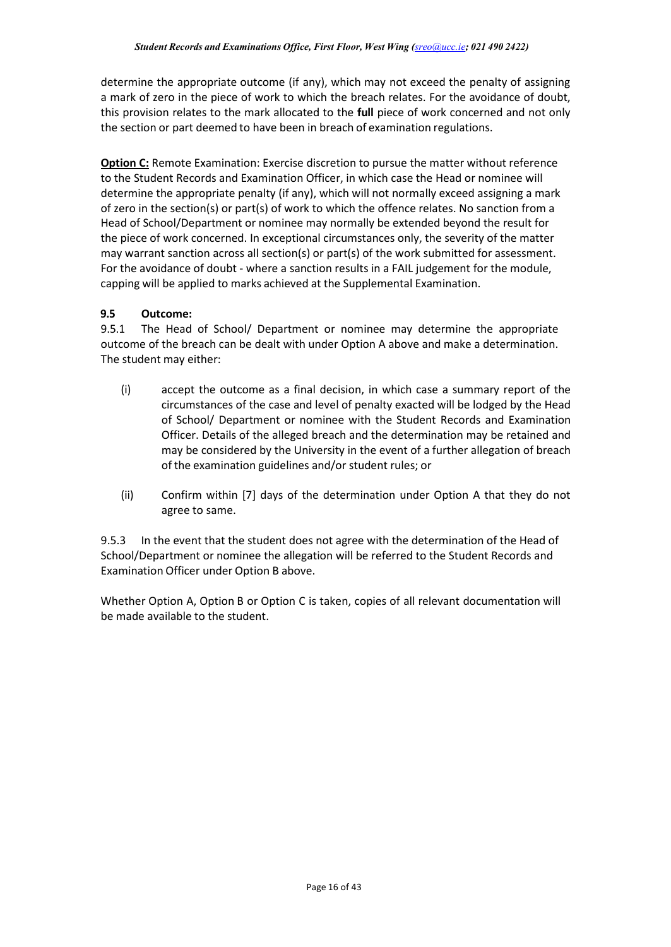determine the appropriate outcome (if any), which may not exceed the penalty of assigning a mark of zero in the piece of work to which the breach relates. For the avoidance of doubt, this provision relates to the mark allocated to the **full** piece of work concerned and not only the section or part deemed to have been in breach of examination regulations.

**Option C:** Remote Examination: Exercise discretion to pursue the matter without reference to the Student Records and Examination Officer, in which case the Head or nominee will determine the appropriate penalty (if any), which will not normally exceed assigning a mark of zero in the section(s) or part(s) of work to which the offence relates. No sanction from a Head of School/Department or nominee may normally be extended beyond the result for the piece of work concerned. In exceptional circumstances only, the severity of the matter may warrant sanction across all section(s) or part(s) of the work submitted for assessment. For the avoidance of doubt - where a sanction results in a FAIL judgement for the module, capping will be applied to marks achieved at the Supplemental Examination.

## **9.5 Outcome:**

9.5.1 The Head of School/ Department or nominee may determine the appropriate outcome of the breach can be dealt with under Option A above and make a determination. The student may either:

- (i) accept the outcome as a final decision, in which case a summary report of the circumstances of the case and level of penalty exacted will be lodged by the Head of School/ Department or nominee with the Student Records and Examination Officer. Details of the alleged breach and the determination may be retained and may be considered by the University in the event of a further allegation of breach of the examination guidelines and/or student rules; or
- (ii) Confirm within [7] days of the determination under Option A that they do not agree to same.

9.5.3 In the event that the student does not agree with the determination of the Head of School/Department or nominee the allegation will be referred to the Student Records and Examination Officer under Option B above.

Whether Option A, Option B or Option C is taken, copies of all relevant documentation will be made available to the student.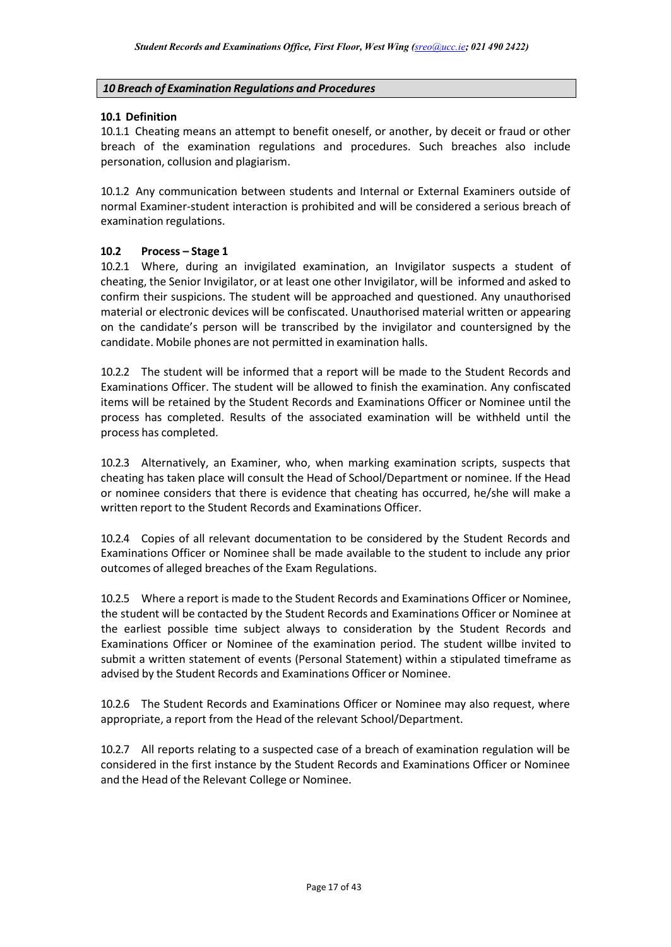### <span id="page-17-0"></span>*10 Breach of Examination Regulations and Procedures*

#### **10.1 Definition**

10.1.1 Cheating means an attempt to benefit oneself, or another, by deceit or fraud or other breach of the examination regulations and procedures. Such breaches also include personation, collusion and plagiarism.

10.1.2 Any communication between students and Internal or External Examiners outside of normal Examiner-student interaction is prohibited and will be considered a serious breach of examination regulations.

#### **10.2 Process – Stage 1**

10.2.1 Where, during an invigilated examination, an Invigilator suspects a student of cheating, the Senior Invigilator, or at least one other Invigilator, will be informed and asked to confirm their suspicions. The student will be approached and questioned. Any unauthorised material or electronic devices will be confiscated. Unauthorised material written or appearing on the candidate's person will be transcribed by the invigilator and countersigned by the candidate. Mobile phones are not permitted in examination halls.

10.2.2 The student will be informed that a report will be made to the Student Records and Examinations Officer. The student will be allowed to finish the examination. Any confiscated items will be retained by the Student Records and Examinations Officer or Nominee until the process has completed. Results of the associated examination will be withheld until the process has completed.

10.2.3 Alternatively, an Examiner, who, when marking examination scripts, suspects that cheating has taken place will consult the Head of School/Department or nominee. If the Head or nominee considers that there is evidence that cheating has occurred, he/she will make a written report to the Student Records and Examinations Officer.

10.2.4 Copies of all relevant documentation to be considered by the Student Records and Examinations Officer or Nominee shall be made available to the student to include any prior outcomes of alleged breaches of the Exam Regulations.

10.2.5 Where a report is made to the Student Records and Examinations Officer or Nominee, the student will be contacted by the Student Records and Examinations Officer or Nominee at the earliest possible time subject always to consideration by the Student Records and Examinations Officer or Nominee of the examination period. The student willbe invited to submit a written statement of events (Personal Statement) within a stipulated timeframe as advised by the Student Records and Examinations Officer or Nominee.

10.2.6 The Student Records and Examinations Officer or Nominee may also request, where appropriate, a report from the Head of the relevant School/Department.

10.2.7 All reports relating to a suspected case of a breach of examination regulation will be considered in the first instance by the Student Records and Examinations Officer or Nominee and the Head of the Relevant College or Nominee.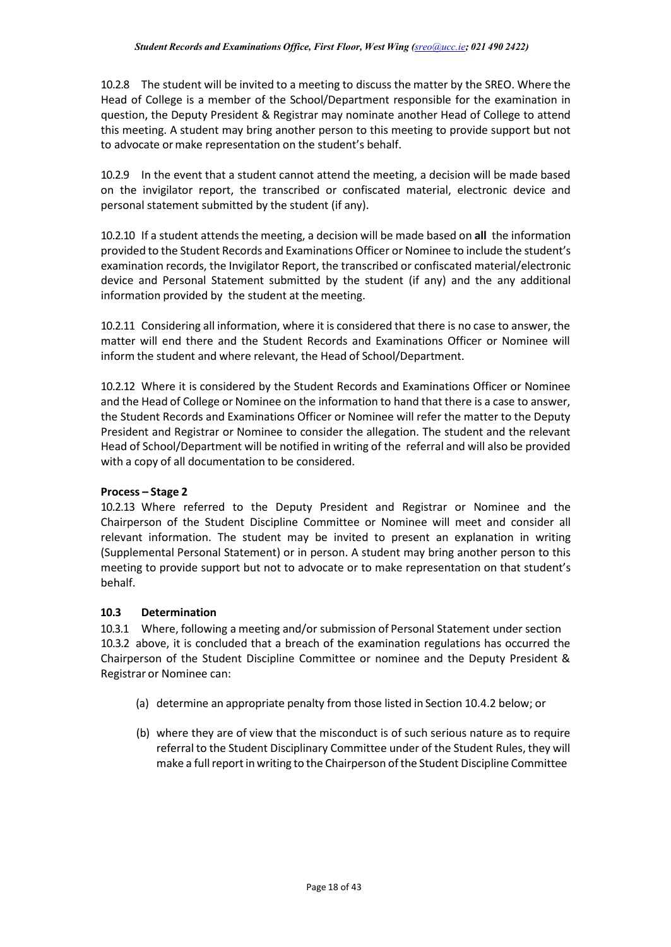10.2.8 The student will be invited to a meeting to discuss the matter by the SREO. Where the Head of College is a member of the School/Department responsible for the examination in question, the Deputy President & Registrar may nominate another Head of College to attend this meeting. A student may bring another person to this meeting to provide support but not to advocate ormake representation on the student's behalf.

10.2.9 In the event that a student cannot attend the meeting, a decision will be made based on the invigilator report, the transcribed or confiscated material, electronic device and personal statement submitted by the student (if any).

10.2.10 If a student attends the meeting, a decision will be made based on **all** the information provided to the Student Records and Examinations Officer or Nominee to include the student's examination records, the Invigilator Report, the transcribed or confiscated material/electronic device and Personal Statement submitted by the student (if any) and the any additional information provided by the student at the meeting.

10.2.11 Considering all information, where it is considered that there is no case to answer, the matter will end there and the Student Records and Examinations Officer or Nominee will inform the student and where relevant, the Head of School/Department.

10.2.12 Where it is considered by the Student Records and Examinations Officer or Nominee and the Head of College or Nominee on the information to hand that there is a case to answer, the Student Records and Examinations Officer or Nominee will refer the matter to the Deputy President and Registrar or Nominee to consider the allegation. The student and the relevant Head of School/Department will be notified in writing of the referral and will also be provided with a copy of all documentation to be considered.

### **Process – Stage 2**

10.2.13 Where referred to the Deputy President and Registrar or Nominee and the Chairperson of the Student Discipline Committee or Nominee will meet and consider all relevant information. The student may be invited to present an explanation in writing (Supplemental Personal Statement) or in person. A student may bring another person to this meeting to provide support but not to advocate or to make representation on that student's behalf.

### **10.3 Determination**

10.3.1 Where, following a meeting and/or submission of Personal Statement under section 10.3.2 above, it is concluded that a breach of the examination regulations has occurred the Chairperson of the Student Discipline Committee or nominee and the Deputy President & Registrar or Nominee can:

- (a) determine an appropriate penalty from those listed in Section 10.4.2 below; or
- (b) where they are of view that the misconduct is of such serious nature as to require referral to the Student Disciplinary Committee under of the Student Rules, they will make a full report in writing to the Chairperson of the Student Discipline Committee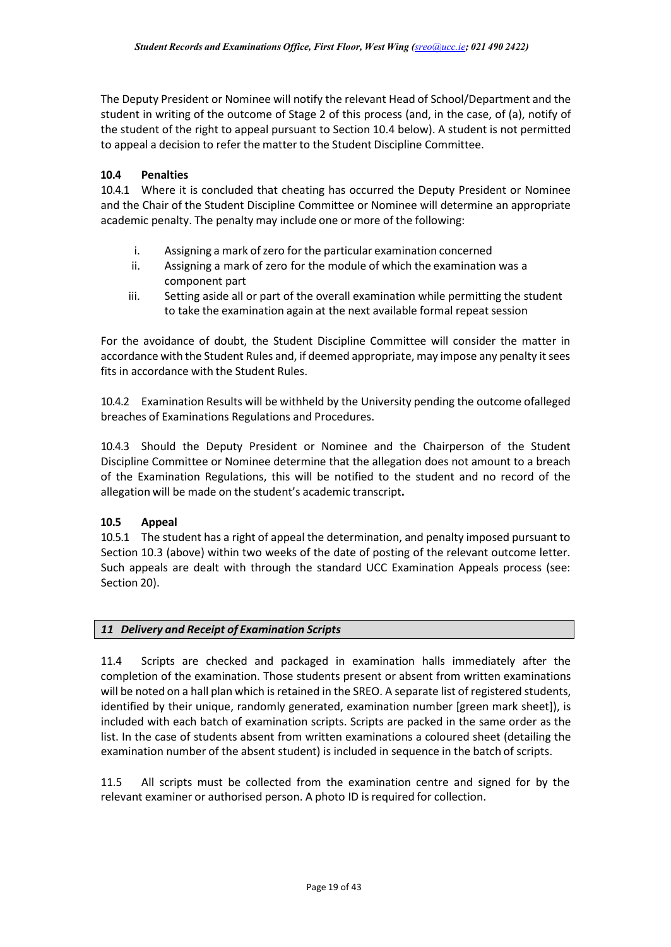The Deputy President or Nominee will notify the relevant Head of School/Department and the student in writing of the outcome of Stage 2 of this process (and, in the case, of (a), notify of the student of the right to appeal pursuant to Section 10.4 below). A student is not permitted to appeal a decision to refer the matter to the Student Discipline Committee.

## **10.4 Penalties**

10.4.1 Where it is concluded that cheating has occurred the Deputy President or Nominee and the Chair of the Student Discipline Committee or Nominee will determine an appropriate academic penalty. The penalty may include one or more of the following:

- i. Assigning a mark of zero for the particular examination concerned
- ii. Assigning a mark of zero for the module of which the examination was a component part
- iii. Setting aside all or part of the overall examination while permitting the student to take the examination again at the next available formal repeat session

For the avoidance of doubt, the Student Discipline Committee will consider the matter in accordance with the Student Rules and, if deemed appropriate, may impose any penalty it sees fits in accordance with the Student Rules.

10.4.2 Examination Results will be withheld by the University pending the outcome ofalleged breaches of Examinations Regulations and Procedures.

10.4.3 Should the Deputy President or Nominee and the Chairperson of the Student Discipline Committee or Nominee determine that the allegation does not amount to a breach of the Examination Regulations, this will be notified to the student and no record of the allegation will be made on the student's academic transcript**.**

### **10.5 Appeal**

10.5.1 The student has a right of appeal the determination, and penalty imposed pursuant to Section 10.3 (above) within two weeks of the date of posting of the relevant outcome letter. Such appeals are dealt with through the standard UCC Examination Appeals process (see: Section 20).

### <span id="page-19-0"></span>*11 Delivery and Receipt of Examination Scripts*

11.4 Scripts are checked and packaged in examination halls immediately after the completion of the examination. Those students present or absent from written examinations will be noted on a hall plan which is retained in the SREO. A separate list of registered students, identified by their unique, randomly generated, examination number [green mark sheet]), is included with each batch of examination scripts. Scripts are packed in the same order as the list. In the case of students absent from written examinations a coloured sheet (detailing the examination number of the absent student) is included in sequence in the batch of scripts.

11.5 All scripts must be collected from the examination centre and signed for by the relevant examiner or authorised person. A photo ID is required for collection.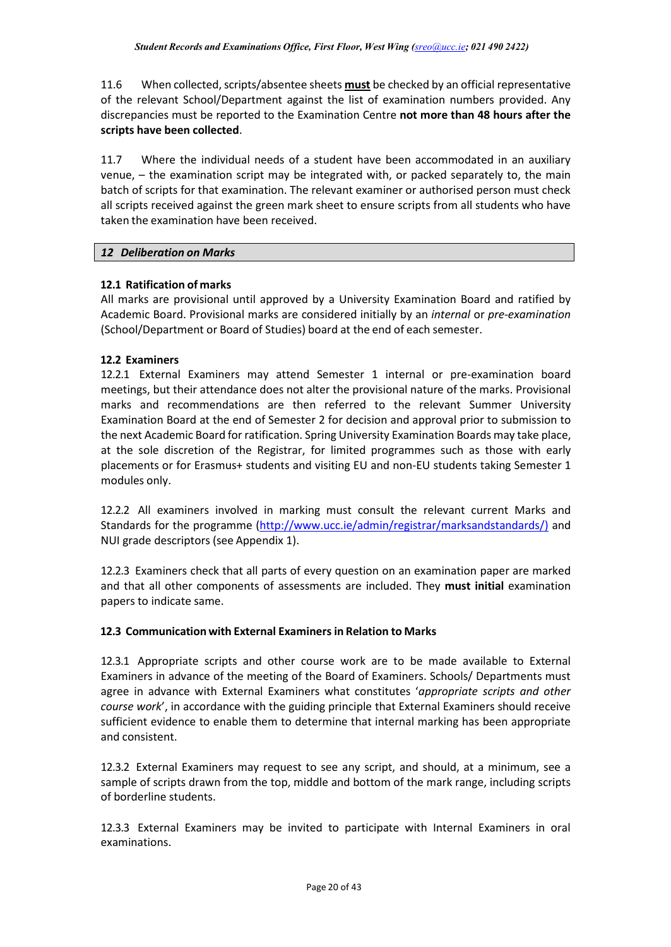11.6 When collected, scripts/absentee sheets **must** be checked by an official representative of the relevant School/Department against the list of examination numbers provided. Any discrepancies must be reported to the Examination Centre **not more than 48 hours after the scripts have been collected**.

11.7 Where the individual needs of a student have been accommodated in an auxiliary venue, – the examination script may be integrated with, or packed separately to, the main batch of scripts for that examination. The relevant examiner or authorised person must check all scripts received against the green mark sheet to ensure scripts from all students who have taken the examination have been received.

### <span id="page-20-0"></span>*12 Deliberation on Marks*

### **12.1 Ratification of marks**

All marks are provisional until approved by a University Examination Board and ratified by Academic Board. Provisional marks are considered initially by an *internal* or *pre-examination* (School/Department or Board of Studies) board at the end of each semester.

#### **12.2 Examiners**

12.2.1 External Examiners may attend Semester 1 internal or pre-examination board meetings, but their attendance does not alter the provisional nature of the marks. Provisional marks and recommendations are then referred to the relevant Summer University Examination Board at the end of Semester 2 for decision and approval prior to submission to the next Academic Board for ratification. Spring University Examination Boards may take place, at the sole discretion of the Registrar, for limited programmes such as those with early placements or for Erasmus+ students and visiting EU and non-EU students taking Semester 1 modules only.

12.2.2 All examiners involved in marking must consult the relevant current Marks and Standards for the programme [\(http://www.ucc.ie/admin/registrar/marksandstandards/\)](http://www.ucc.ie/admin/registrar/marksandstandards/) and NUI grade descriptors (see Appendix 1).

12.2.3 Examiners check that all parts of every question on an examination paper are marked and that all other components of assessments are included. They **must initial** examination papers to indicate same.

### **12.3 Communicationwith External Examinersin Relation to Marks**

12.3.1 Appropriate scripts and other course work are to be made available to External Examiners in advance of the meeting of the Board of Examiners. Schools/ Departments must agree in advance with External Examiners what constitutes '*appropriate scripts and other course work*', in accordance with the guiding principle that External Examiners should receive sufficient evidence to enable them to determine that internal marking has been appropriate and consistent.

12.3.2 External Examiners may request to see any script, and should, at a minimum, see a sample of scripts drawn from the top, middle and bottom of the mark range, including scripts of borderline students.

12.3.3 External Examiners may be invited to participate with Internal Examiners in oral examinations.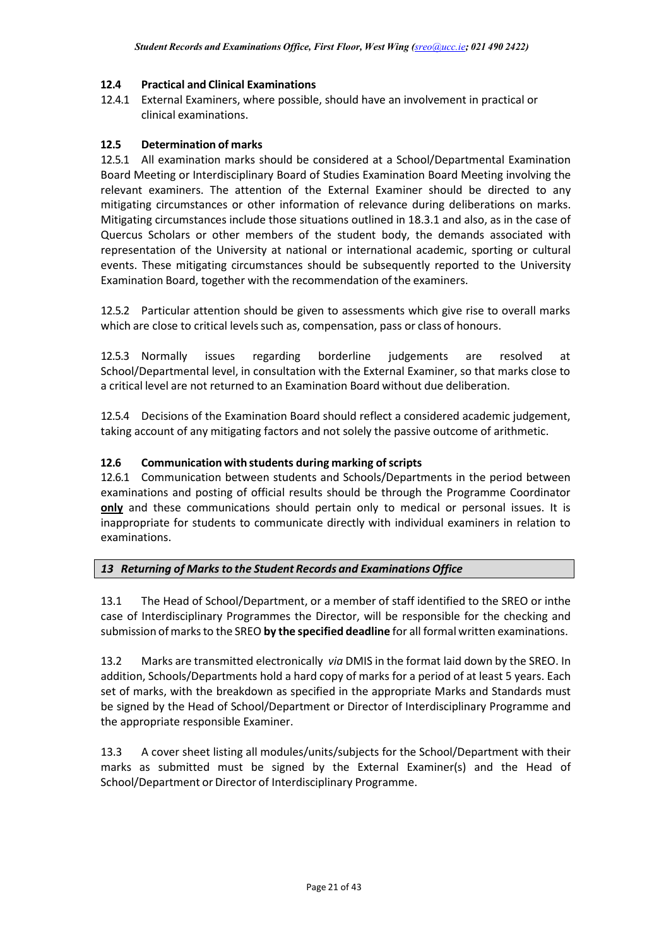## **12.4 Practical and Clinical Examinations**

12.4.1 External Examiners, where possible, should have an involvement in practical or clinical examinations.

### **12.5 Determination of marks**

12.5.1 All examination marks should be considered at a School/Departmental Examination Board Meeting or Interdisciplinary Board of Studies Examination Board Meeting involving the relevant examiners. The attention of the External Examiner should be directed to any mitigating circumstances or other information of relevance during deliberations on marks. Mitigating circumstances include those situations outlined in 18.3.1 and also, as in the case of Quercus Scholars or other members of the student body, the demands associated with representation of the University at national or international academic, sporting or cultural events. These mitigating circumstances should be subsequently reported to the University Examination Board, together with the recommendation of the examiners.

12.5.2 Particular attention should be given to assessments which give rise to overall marks which are close to critical levels such as, compensation, pass or class of honours.

12.5.3 Normally issues regarding borderline judgements are resolved at School/Departmental level, in consultation with the External Examiner, so that marks close to a critical level are not returned to an Examination Board without due deliberation.

12.5.4 Decisions of the Examination Board should reflect a considered academic judgement, taking account of any mitigating factors and not solely the passive outcome of arithmetic.

## **12.6 Communicationwith students during marking ofscripts**

12.6.1 Communication between students and Schools/Departments in the period between examinations and posting of official results should be through the Programme Coordinator **only** and these communications should pertain only to medical or personal issues. It is inappropriate for students to communicate directly with individual examiners in relation to examinations.

## <span id="page-21-0"></span>*13 Returning of Marks to the Student Records and Examinations Office*

13.1 The Head of School/Department, or a member of staff identified to the SREO or inthe case of Interdisciplinary Programmes the Director, will be responsible for the checking and submission ofmarksto the SREO **by the specified deadline** for all formal written examinations.

13.2 Marks are transmitted electronically *via* DMIS in the format laid down by the SREO. In addition, Schools/Departments hold a hard copy of marks for a period of at least 5 years. Each set of marks, with the breakdown as specified in the appropriate Marks and Standards must be signed by the Head of School/Department or Director of Interdisciplinary Programme and the appropriate responsible Examiner.

13.3 A cover sheet listing all modules/units/subjects for the School/Department with their marks as submitted must be signed by the External Examiner(s) and the Head of School/Department or Director of Interdisciplinary Programme.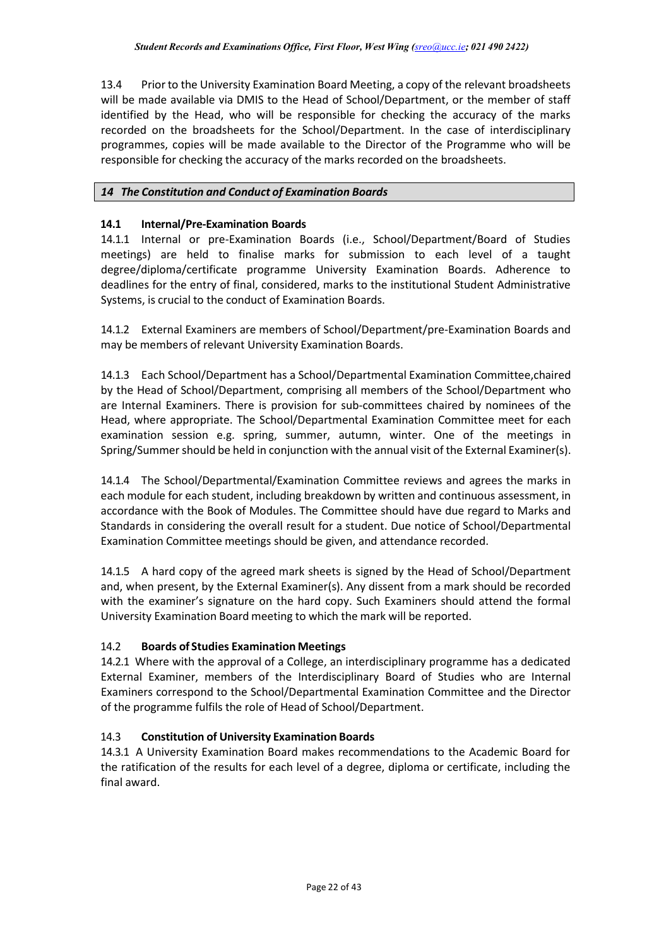13.4 Priorto the University Examination Board Meeting, a copy of the relevant broadsheets will be made available via DMIS to the Head of School/Department, or the member of staff identified by the Head, who will be responsible for checking the accuracy of the marks recorded on the broadsheets for the School/Department. In the case of interdisciplinary programmes, copies will be made available to the Director of the Programme who will be responsible for checking the accuracy of the marks recorded on the broadsheets.

## <span id="page-22-0"></span>*14 The Constitution and Conduct of Examination Boards*

## **14.1 Internal/Pre-Examination Boards**

14.1.1 Internal or pre-Examination Boards (i.e., School/Department/Board of Studies meetings) are held to finalise marks for submission to each level of a taught degree/diploma/certificate programme University Examination Boards. Adherence to deadlines for the entry of final, considered, marks to the institutional Student Administrative Systems, is crucial to the conduct of Examination Boards.

14.1.2 External Examiners are members of School/Department/pre-Examination Boards and may be members of relevant University Examination Boards.

14.1.3 Each School/Department has a School/Departmental Examination Committee,chaired by the Head of School/Department, comprising all members of the School/Department who are Internal Examiners. There is provision for sub-committees chaired by nominees of the Head, where appropriate. The School/Departmental Examination Committee meet for each examination session e.g. spring, summer, autumn, winter. One of the meetings in Spring/Summer should be held in conjunction with the annual visit of the External Examiner(s).

14.1.4 The School/Departmental/Examination Committee reviews and agrees the marks in each module for each student, including breakdown by written and continuous assessment, in accordance with the Book of Modules. The Committee should have due regard to Marks and Standards in considering the overall result for a student. Due notice of School/Departmental Examination Committee meetings should be given, and attendance recorded.

14.1.5 A hard copy of the agreed mark sheets is signed by the Head of School/Department and, when present, by the External Examiner(s). Any dissent from a mark should be recorded with the examiner's signature on the hard copy. Such Examiners should attend the formal University Examination Board meeting to which the mark will be reported.

## 14.2 **Boards of Studies Examination Meetings**

14.2.1 Where with the approval of a College, an interdisciplinary programme has a dedicated External Examiner, members of the Interdisciplinary Board of Studies who are Internal Examiners correspond to the School/Departmental Examination Committee and the Director of the programme fulfils the role of Head of School/Department.

# 14.3 **Constitution of University Examination Boards**

14.3.1 A University Examination Board makes recommendations to the Academic Board for the ratification of the results for each level of a degree, diploma or certificate, including the final award.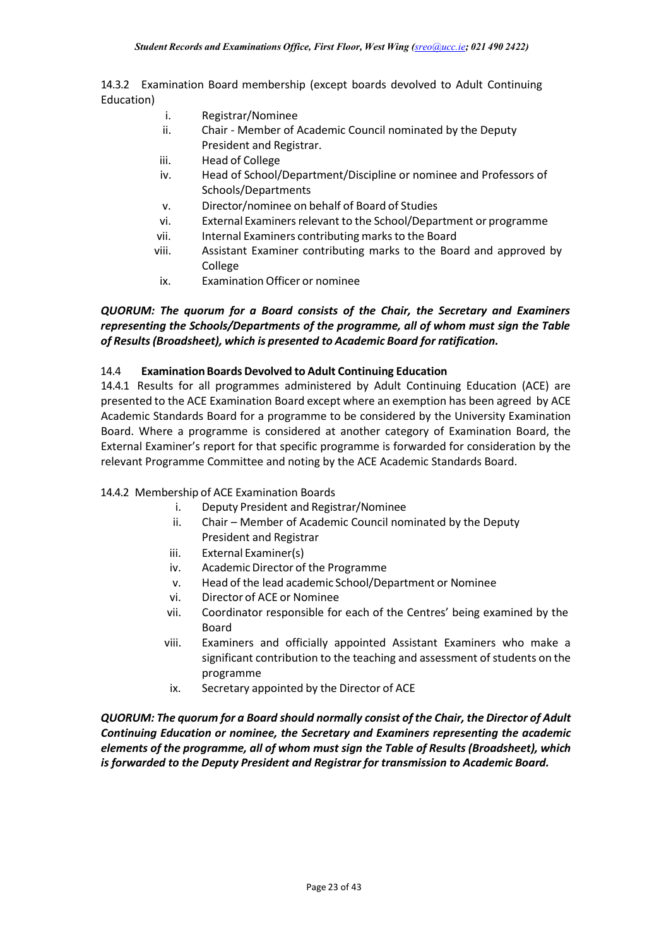14.3.2 Examination Board membership (except boards devolved to Adult Continuing Education)

- i. Registrar/Nominee
- ii. Chair Member of Academic Council nominated by the Deputy President and Registrar.
- iii. Head of College
- iv. Head of School/Department/Discipline or nominee and Professors of Schools/Departments
- v. Director/nominee on behalf of Board of Studies
- vi. External Examiners relevant to the School/Department or programme
- vii. Internal Examiners contributing marksto the Board
- viii. Assistant Examiner contributing marks to the Board and approved by College
- ix. Examination Officer or nominee

## *QUORUM: The quorum for a Board consists of the Chair, the Secretary and Examiners representing the Schools/Departments of the programme, all of whom must sign the Table of Results(Broadsheet), which is presented to Academic Board for ratification.*

### 14.4 **ExaminationBoards Devolved to Adult Continuing Education**

14.4.1 Results for all programmes administered by Adult Continuing Education (ACE) are presented to the ACE Examination Board except where an exemption has been agreed by ACE Academic Standards Board for a programme to be considered by the University Examination Board. Where a programme is considered at another category of Examination Board, the External Examiner's report for that specific programme is forwarded for consideration by the relevant Programme Committee and noting by the ACE Academic Standards Board.

### 14.4.2 Membership of ACE Examination Boards

- i. Deputy President and Registrar/Nominee
- ii. Chair Member of Academic Council nominated by the Deputy President and Registrar
- iii. External Examiner(s)
- iv. Academic Director of the Programme
- v. Head of the lead academic School/Department or Nominee
- vi. Director of ACE or Nominee
- vii. Coordinator responsible for each of the Centres' being examined by the Board
- viii. Examiners and officially appointed Assistant Examiners who make a significant contribution to the teaching and assessment of students on the programme
- ix. Secretary appointed by the Director of ACE

*QUORUM: The quorum for a Board should normally consist of the Chair, the Director of Adult Continuing Education or nominee, the Secretary and Examiners representing the academic elements of the programme, all of whom must sign the Table of Results (Broadsheet), which is forwarded to the Deputy President and Registrar for transmission to Academic Board.*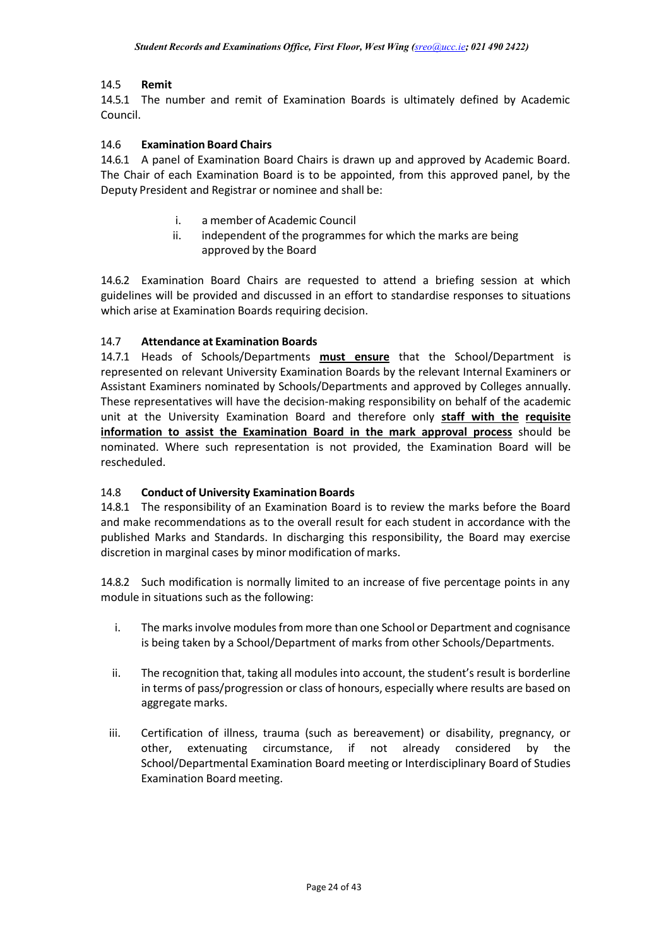## 14.5 **Remit**

14.5.1 The number and remit of Examination Boards is ultimately defined by Academic Council.

### 14.6 **Examination Board Chairs**

14.6.1 A panel of Examination Board Chairs is drawn up and approved by Academic Board. The Chair of each Examination Board is to be appointed, from this approved panel, by the Deputy President and Registrar or nominee and shall be:

- i. a member of Academic Council
- ii. independent of the programmes for which the marks are being approved by the Board

14.6.2 Examination Board Chairs are requested to attend a briefing session at which guidelines will be provided and discussed in an effort to standardise responses to situations which arise at Examination Boards requiring decision.

## 14.7 **Attendance at Examination Boards**

14.7.1 Heads of Schools/Departments **must ensure** that the School/Department is represented on relevant University Examination Boards by the relevant Internal Examiners or Assistant Examiners nominated by Schools/Departments and approved by Colleges annually. These representatives will have the decision-making responsibility on behalf of the academic unit at the University Examination Board and therefore only **staff with the requisite information to assist the Examination Board in the mark approval process** should be nominated. Where such representation is not provided, the Examination Board will be rescheduled.

### 14.8 **Conduct of University Examination Boards**

14.8.1 The responsibility of an Examination Board is to review the marks before the Board and make recommendations as to the overall result for each student in accordance with the published Marks and Standards. In discharging this responsibility, the Board may exercise discretion in marginal cases by minor modification of marks.

14.8.2 Such modification is normally limited to an increase of five percentage points in any module in situations such as the following:

- i. The marks involve modules from more than one School or Department and cognisance is being taken by a School/Department of marks from other Schools/Departments.
- ii. The recognition that, taking all modules into account, the student's result is borderline in terms of pass/progression or class of honours, especially where results are based on aggregate marks.
- iii. Certification of illness, trauma (such as bereavement) or disability, pregnancy, or other, extenuating circumstance, if not already considered by the School/Departmental Examination Board meeting or Interdisciplinary Board of Studies Examination Board meeting.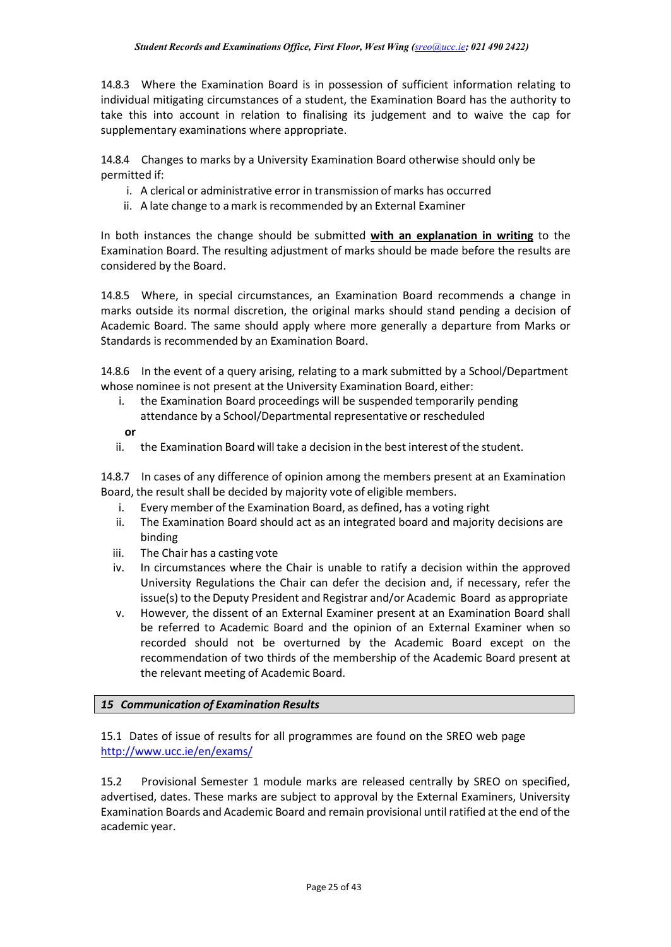14.8.3 Where the Examination Board is in possession of sufficient information relating to individual mitigating circumstances of a student, the Examination Board has the authority to take this into account in relation to finalising its judgement and to waive the cap for supplementary examinations where appropriate.

14.8.4 Changes to marks by a University Examination Board otherwise should only be permitted if:

- i. A clerical or administrative error in transmission of marks has occurred
- ii. A late change to a mark is recommended by an External Examiner

In both instances the change should be submitted **with an explanation in writing** to the Examination Board. The resulting adjustment of marks should be made before the results are considered by the Board.

14.8.5 Where, in special circumstances, an Examination Board recommends a change in marks outside its normal discretion, the original marks should stand pending a decision of Academic Board. The same should apply where more generally a departure from Marks or Standards is recommended by an Examination Board.

14.8.6 In the event of a query arising, relating to a mark submitted by a School/Department whose nominee is not present at the University Examination Board, either:

- i. the Examination Board proceedings will be suspended temporarily pending attendance by a School/Departmental representative or rescheduled
- **or**
- ii. the Examination Board will take a decision in the best interest of the student.

14.8.7 In cases of any difference of opinion among the members present at an Examination Board, the result shall be decided by majority vote of eligible members.

- i. Every member of the Examination Board, as defined, has a voting right
- ii. The Examination Board should act as an integrated board and majority decisions are binding
- iii. The Chair has a casting vote
- iv. In circumstances where the Chair is unable to ratify a decision within the approved University Regulations the Chair can defer the decision and, if necessary, refer the issue(s) to the Deputy President and Registrar and/or Academic Board as appropriate
- v. However, the dissent of an External Examiner present at an Examination Board shall be referred to Academic Board and the opinion of an External Examiner when so recorded should not be overturned by the Academic Board except on the recommendation of two thirds of the membership of the Academic Board present at the relevant meeting of Academic Board.

### <span id="page-25-0"></span>*15 Communication of Examination Results*

15.1 Dates of issue of results for all programmes are found on the SREO web page <http://www.ucc.ie/en/exams/>

15.2 Provisional Semester 1 module marks are released centrally by SREO on specified, advertised, dates. These marks are subject to approval by the External Examiners, University Examination Boards and Academic Board and remain provisional until ratified at the end of the academic year.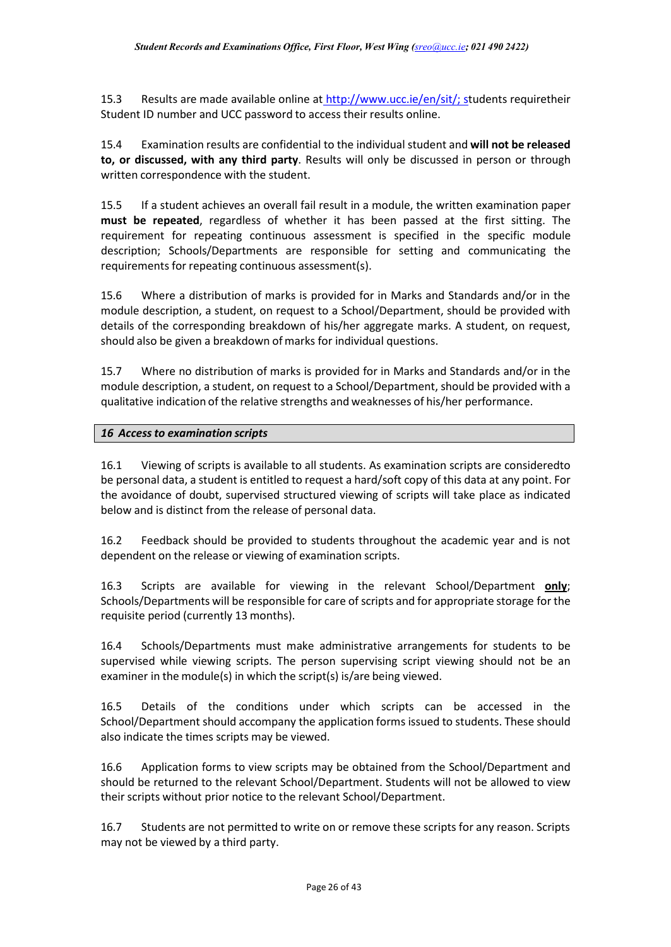15.3 Results are made available online at [http://www.ucc.ie/en/sit/;](http://www.ucc.ie/en/sit/) students requiretheir Student ID number and UCC password to access their results online.

15.4 Examination results are confidential to the individual student and **will not be released to, or discussed, with any third party**. Results will only be discussed in person or through written correspondence with the student.

15.5 If a student achieves an overall fail result in a module, the written examination paper **must be repeated**, regardless of whether it has been passed at the first sitting. The requirement for repeating continuous assessment is specified in the specific module description; Schools/Departments are responsible for setting and communicating the requirements for repeating continuous assessment(s).

15.6 Where a distribution of marks is provided for in Marks and Standards and/or in the module description, a student, on request to a School/Department, should be provided with details of the corresponding breakdown of his/her aggregate marks. A student, on request, should also be given a breakdown of marks for individual questions.

15.7 Where no distribution of marks is provided for in Marks and Standards and/or in the module description, a student, on request to a School/Department, should be provided with a qualitative indication of the relative strengths and weaknesses of his/her performance.

### *16 Accessto examination scripts*

16.1 Viewing of scripts is available to all students. As examination scripts are consideredto be personal data, a student is entitled to request a hard/soft copy of this data at any point. For the avoidance of doubt, supervised structured viewing of scripts will take place as indicated below and is distinct from the release of personal data.

16.2 Feedback should be provided to students throughout the academic year and is not dependent on the release or viewing of examination scripts.

16.3 Scripts are available for viewing in the relevant School/Department **only**; Schools/Departments will be responsible for care of scripts and for appropriate storage for the requisite period (currently 13 months).

16.4 Schools/Departments must make administrative arrangements for students to be supervised while viewing scripts. The person supervising script viewing should not be an examiner in the module(s) in which the script(s) is/are being viewed.

16.5 Details of the conditions under which scripts can be accessed in the School/Department should accompany the application forms issued to students. These should also indicate the times scripts may be viewed.

16.6 Application forms to view scripts may be obtained from the School/Department and should be returned to the relevant School/Department. Students will not be allowed to view their scripts without prior notice to the relevant School/Department.

16.7 Students are not permitted to write on or remove these scripts for any reason. Scripts may not be viewed by a third party.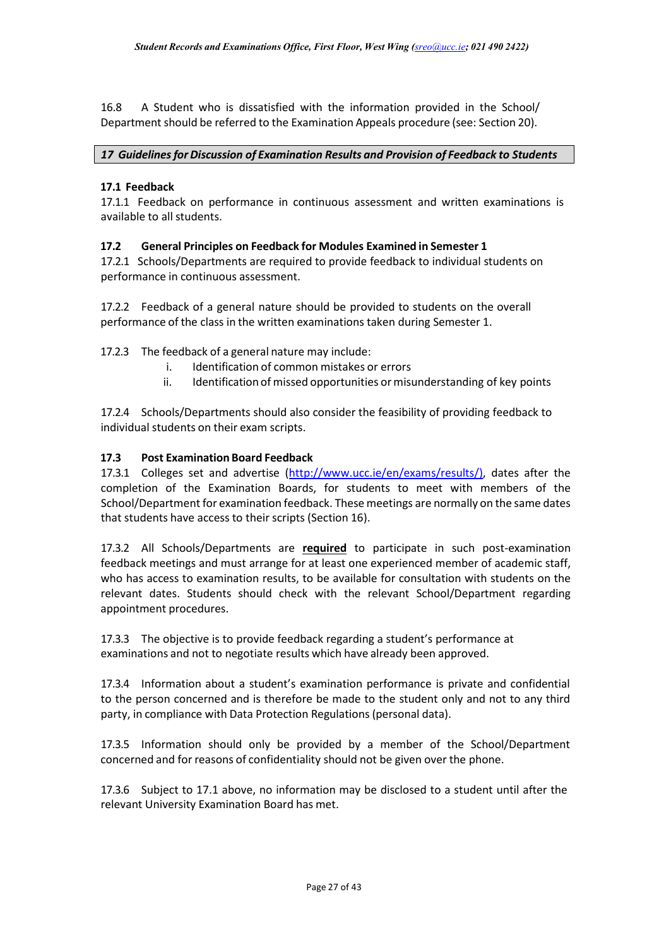16.8 A Student who is dissatisfied with the information provided in the School/ Department should be referred to the Examination Appeals procedure (see: Section 20).

### *17 Guidelinesfor Discussion of Examination Results and Provision of Feedback to Students*

## **17.1 Feedback**

17.1.1 Feedback on performance in continuous assessment and written examinations is available to all students.

## **17.2 General Principles on Feedback for Modules Examined in Semester 1**

17.2.1 Schools/Departments are required to provide feedback to individual students on performance in continuous assessment.

17.2.2 Feedback of a general nature should be provided to students on the overall performance of the class in the written examinations taken during Semester 1.

17.2.3 The feedback of a general nature may include:

- i. Identification of common mistakes or errors
- ii. Identification of missed opportunities or misunderstanding of key points

17.2.4 Schools/Departments should also consider the feasibility of providing feedback to individual students on their exam scripts.

### **17.3 Post Examination Board Feedback**

17.3.1 Colleges set and advertise [\(http://www.ucc.ie/en/exams/results/\)](http://www.ucc.ie/en/exams/results/), dates after the completion of the Examination Boards, for students to meet with members of the School/Department for examination feedback. These meetings are normally on the same dates that students have access to their scripts (Section 16).

17.3.2 All Schools/Departments are **required** to participate in such post-examination feedback meetings and must arrange for at least one experienced member of academic staff, who has access to examination results, to be available for consultation with students on the relevant dates. Students should check with the relevant School/Department regarding appointment procedures.

17.3.3 The objective is to provide feedback regarding a student's performance at examinations and not to negotiate results which have already been approved.

17.3.4 Information about a student's examination performance is private and confidential to the person concerned and is therefore be made to the student only and not to any third party, in compliance with Data Protection Regulations(personal data).

17.3.5 Information should only be provided by a member of the School/Department concerned and for reasons of confidentiality should not be given over the phone.

17.3.6 Subject to 17.1 above, no information may be disclosed to a student until after the relevant University Examination Board has met.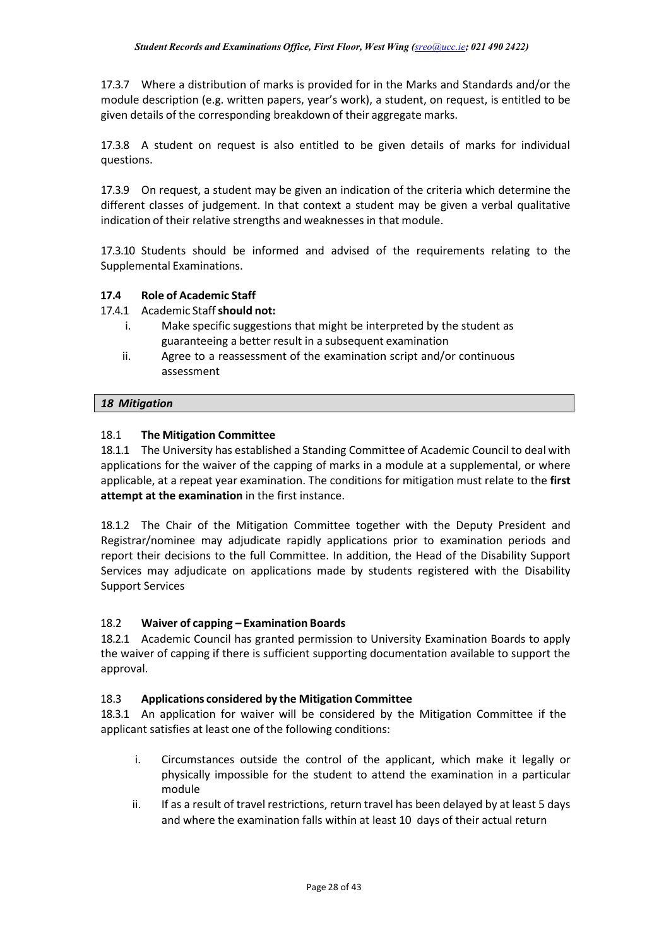17.3.7 Where a distribution of marks is provided for in the Marks and Standards and/or the module description (e.g. written papers, year's work), a student, on request, is entitled to be given details of the corresponding breakdown of their aggregate marks.

17.3.8 A student on request is also entitled to be given details of marks for individual questions.

17.3.9 On request, a student may be given an indication of the criteria which determine the different classes of judgement. In that context a student may be given a verbal qualitative indication of their relative strengths and weaknesses in that module.

17.3.10 Students should be informed and advised of the requirements relating to the Supplemental Examinations.

## **17.4 Role of Academic Staff**

### 17.4.1 Academic Staff**should not:**

- i. Make specific suggestions that might be interpreted by the student as guaranteeing a better result in a subsequent examination
- ii. Agree to a reassessment of the examination script and/or continuous assessment

### *18 Mitigation*

### 18.1 **The Mitigation Committee**

18.1.1 The University has established a Standing Committee of Academic Council to deal with applications for the waiver of the capping of marks in a module at a supplemental, or where applicable, at a repeat year examination. The conditions for mitigation must relate to the **first attempt at the examination** in the first instance.

18.1.2 The Chair of the Mitigation Committee together with the Deputy President and Registrar/nominee may adjudicate rapidly applications prior to examination periods and report their decisions to the full Committee. In addition, the Head of the Disability Support Services may adjudicate on applications made by students registered with the Disability Support Services

### 18.2 **Waiver of capping – Examination Boards**

18.2.1 Academic Council has granted permission to University Examination Boards to apply the waiver of capping if there is sufficient supporting documentation available to support the approval.

### 18.3 **Applications considered by the Mitigation Committee**

18.3.1 An application for waiver will be considered by the Mitigation Committee if the applicant satisfies at least one of the following conditions:

- i. Circumstances outside the control of the applicant, which make it legally or physically impossible for the student to attend the examination in a particular module
- ii. If as a result of travel restrictions, return travel has been delayed by at least 5 days and where the examination falls within at least 10 days of their actual return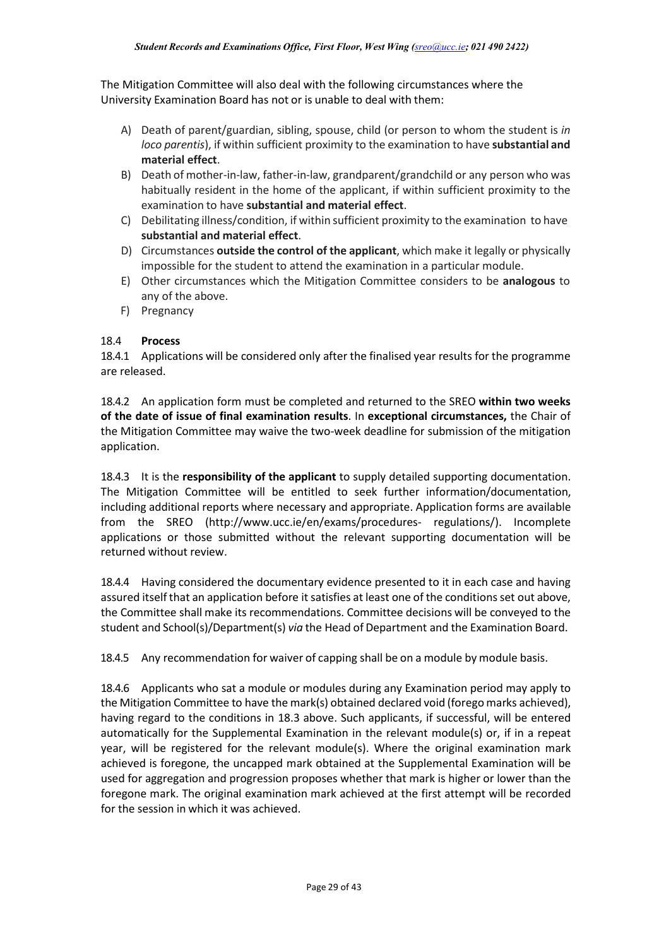The Mitigation Committee will also deal with the following circumstances where the University Examination Board has not or is unable to deal with them:

- A) Death of parent/guardian, sibling, spouse, child (or person to whom the student is *in loco parentis*), if within sufficient proximity to the examination to have **substantial and material effect**.
- B) Death of mother-in-law, father-in-law, grandparent/grandchild or any person who was habitually resident in the home of the applicant, if within sufficient proximity to the examination to have **substantial and material effect**.
- C) Debilitating illness/condition, if within sufficient proximity to the examination to have **substantial and material effect**.
- D) Circumstances **outside the control of the applicant**, which make it legally or physically impossible for the student to attend the examination in a particular module.
- E) Other circumstances which the Mitigation Committee considers to be **analogous** to any of the above.
- F) Pregnancy

### 18.4 **Process**

18.4.1 Applications will be considered only after the finalised year results for the programme are released.

18.4.2 An application form must be completed and returned to the SREO **within two weeks of the date of issue of final examination results**. In **exceptional circumstances,** the Chair of the Mitigation Committee may waive the two-week deadline for submission of the mitigation application.

18.4.3 It is the **responsibility of the applicant** to supply detailed supporting documentation. The Mitigation Committee will be entitled to seek further information/documentation, including additional reports where necessary and appropriate. Application forms are available from the SREO [\(http://www.ucc.ie/en/exams/procedures-](http://www.ucc.ie/en/exams/procedures-) regulations/). Incomplete applications or those submitted without the relevant supporting documentation will be returned without review.

18.4.4 Having considered the documentary evidence presented to it in each case and having assured itself that an application before it satisfies at least one of the conditions set out above, the Committee shall make its recommendations. Committee decisions will be conveyed to the student and School(s)/Department(s) *via* the Head of Department and the Examination Board.

18.4.5 Any recommendation for waiver of capping shall be on a module by module basis.

18.4.6 Applicants who sat a module or modules during any Examination period may apply to the Mitigation Committee to have the mark(s) obtained declared void (forego marks achieved), having regard to the conditions in 18.3 above. Such applicants, if successful, will be entered automatically for the Supplemental Examination in the relevant module(s) or, if in a repeat year, will be registered for the relevant module(s). Where the original examination mark achieved is foregone, the uncapped mark obtained at the Supplemental Examination will be used for aggregation and progression proposes whether that mark is higher or lower than the foregone mark. The original examination mark achieved at the first attempt will be recorded for the session in which it was achieved.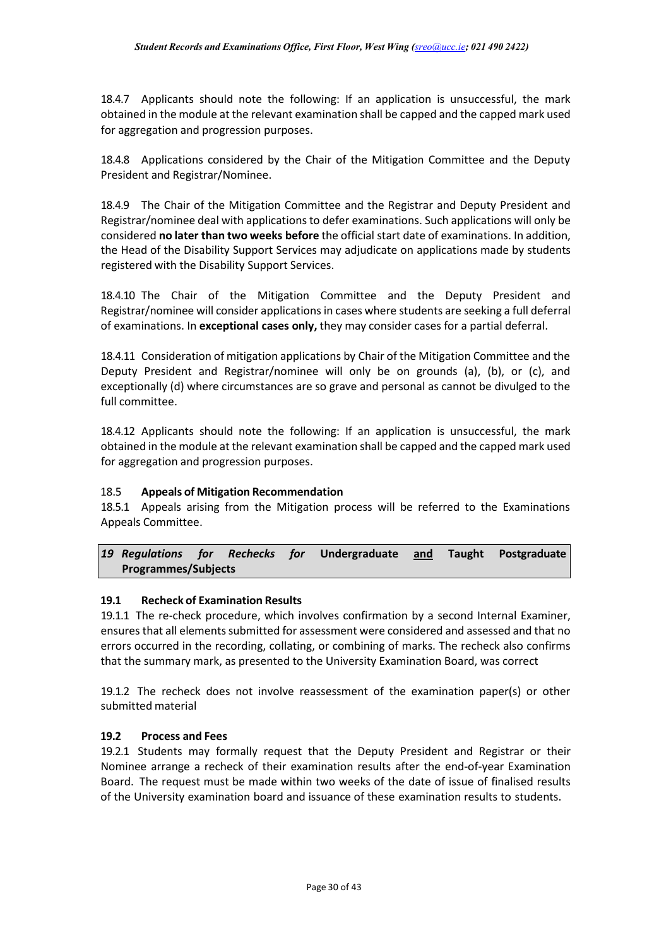18.4.7 Applicants should note the following: If an application is unsuccessful, the mark obtained in the module at the relevant examination shall be capped and the capped mark used for aggregation and progression purposes.

18.4.8 Applications considered by the Chair of the Mitigation Committee and the Deputy President and Registrar/Nominee.

18.4.9 The Chair of the Mitigation Committee and the Registrar and Deputy President and Registrar/nominee deal with applications to defer examinations. Such applications will only be considered **no later than two weeks before** the official start date of examinations. In addition, the Head of the Disability Support Services may adjudicate on applications made by students registered with the Disability Support Services.

18.4.10 The Chair of the Mitigation Committee and the Deputy President and Registrar/nominee will consider applications in cases where students are seeking a full deferral of examinations. In **exceptional cases only,** they may consider cases for a partial deferral.

18.4.11 Consideration of mitigation applications by Chair of the Mitigation Committee and the Deputy President and Registrar/nominee will only be on grounds (a), (b), or (c), and exceptionally (d) where circumstances are so grave and personal as cannot be divulged to the full committee.

18.4.12 Applicants should note the following: If an application is unsuccessful, the mark obtained in the module at the relevant examination shall be capped and the capped mark used for aggregation and progression purposes.

### 18.5 **Appeals of Mitigation Recommendation**

18.5.1 Appeals arising from the Mitigation process will be referred to the Examinations Appeals Committee.

*19 Regulations for Rechecks for* **Undergraduate and Taught Postgraduate Programmes/Subjects**

### **19.1 Recheck of Examination Results**

19.1.1 The re-check procedure, which involves confirmation by a second Internal Examiner, ensures that all elements submitted for assessment were considered and assessed and that no errors occurred in the recording, collating, or combining of marks. The recheck also confirms that the summary mark, as presented to the University Examination Board, was correct

19.1.2 The recheck does not involve reassessment of the examination paper(s) or other submitted material

### **19.2 Process and Fees**

19.2.1 Students may formally request that the Deputy President and Registrar or their Nominee arrange a recheck of their examination results after the end-of-year Examination Board. The request must be made within two weeks of the date of issue of finalised results of the University examination board and issuance of these examination results to students.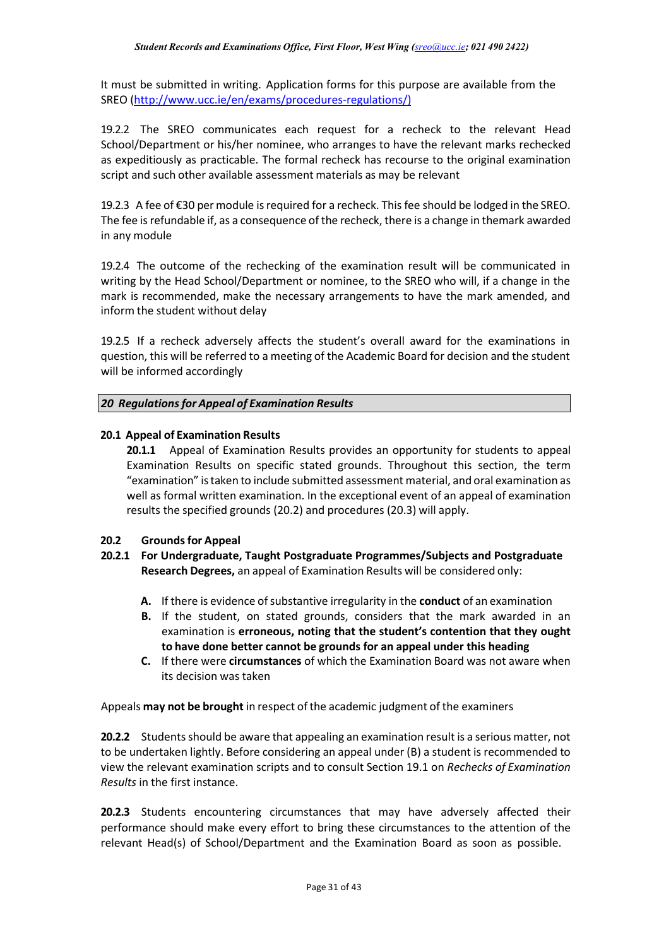It must be submitted in writing. Application forms for this purpose are available from the SREO [\(http://www.ucc.ie/en/exams/procedures-regulations/\)](http://www.ucc.ie/en/exams/procedures-regulations/)

19.2.2 The SREO communicates each request for a recheck to the relevant Head School/Department or his/her nominee, who arranges to have the relevant marks rechecked as expeditiously as practicable. The formal recheck has recourse to the original examination script and such other available assessment materials as may be relevant

19.2.3 A fee of €30 per module is required for a recheck. This fee should be lodged in the SREO. The fee is refundable if, as a consequence of the recheck, there is a change in themark awarded in any module

19.2.4 The outcome of the rechecking of the examination result will be communicated in writing by the Head School/Department or nominee, to the SREO who will, if a change in the mark is recommended, make the necessary arrangements to have the mark amended, and inform the student without delay

19.2.5 If a recheck adversely affects the student's overall award for the examinations in question, this will be referred to a meeting of the Academic Board for decision and the student will be informed accordingly

*20 Regulationsfor Appeal of Examination Results*

### **20.1 Appeal of Examination Results**

**20.1.1** Appeal of Examination Results provides an opportunity for students to appeal Examination Results on specific stated grounds. Throughout this section, the term "examination" istaken to include submitted assessment material, and oral examination as well as formal written examination. In the exceptional event of an appeal of examination results the specified grounds (20.2) and procedures (20.3) will apply.

### **20.2 Groundsfor Appeal**

- **20.2.1 For Undergraduate, Taught Postgraduate Programmes/Subjects and Postgraduate Research Degrees,** an appeal of Examination Results will be considered only:
	- A. If there is evidence of substantive irregularity in the **conduct** of an examination
	- **B.** If the student, on stated grounds, considers that the mark awarded in an examination is **erroneous, noting that the student's contention that they ought to have done better cannot be grounds for an appeal under this heading**
	- **C.** If there were **circumstances** of which the Examination Board was not aware when its decision was taken

Appeals **may not be brought** in respect ofthe academic judgment of the examiners

**20.2.2** Students should be aware that appealing an examination result is a serious matter, not to be undertaken lightly. Before considering an appeal under (B) a student is recommended to view the relevant examination scripts and to consult Section 19.1 on *Rechecks of Examination Results* in the first instance.

**20.2.3** Students encountering circumstances that may have adversely affected their performance should make every effort to bring these circumstances to the attention of the relevant Head(s) of School/Department and the Examination Board as soon as possible.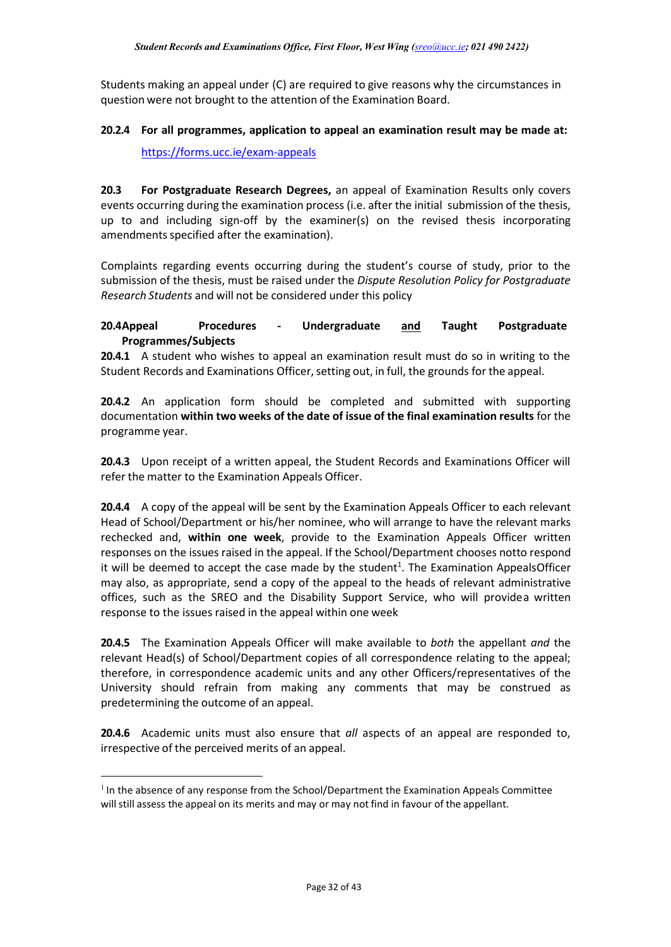Students making an appeal under (C) are required to give reasons why the circumstances in question were not brought to the attention of the Examination Board.

### **20.2.4 For all programmes, application to appeal an examination result may be made at:**

<https://forms.ucc.ie/exam-appeals>

**20.3 For Postgraduate Research Degrees,** an appeal of Examination Results only covers events occurring during the examination process (i.e. after the initial submission of the thesis, up to and including sign-off by the examiner(s) on the revised thesis incorporating amendments specified after the examination).

Complaints regarding events occurring during the student's course of study, prior to the submission of the thesis, must be raised under the *Dispute Resolution Policy for Postgraduate Research Students* and will not be considered under this policy

## **20.4Appeal Procedures - Undergraduate and Taught Postgraduate Programmes/Subjects**

**20.4.1** A student who wishes to appeal an examination result must do so in writing to the Student Records and Examinations Officer, setting out, in full, the grounds for the appeal.

**20.4.2** An application form should be completed and submitted with supporting documentation **within two weeks of the date of issue of the final examination results** for the programme year.

**20.4.3** Upon receipt of a written appeal, the Student Records and Examinations Officer will refer the matter to the Examination Appeals Officer.

**20.4.4** A copy of the appeal will be sent by the Examination Appeals Officer to each relevant Head of School/Department or his/her nominee, who will arrange to have the relevant marks rechecked and, **within one week**, provide to the Examination Appeals Officer written responses on the issues raised in the appeal. If the School/Department chooses notto respond it will be deemed to accept the case made by the student<sup>1</sup>[. T](#page-32-0)he Examination AppealsOfficer may also, as appropriate, send a copy of the appeal to the heads of relevant administrative offices, such as the SREO and the Disability Support Service, who will providea written response to the issues raised in the appeal within one week

**20.4.5** The Examination Appeals Officer will make available to *both* the appellant *and* the relevant Head(s) of School/Department copies of all correspondence relating to the appeal; therefore, in correspondence academic units and any other Officers/representatives of the University should refrain from making any comments that may be construed as predetermining the outcome of an appeal.

**20.4.6** Academic units must also ensure that *all* aspects of an appeal are responded to, irrespective of the perceived merits of an appeal.

<span id="page-32-0"></span> $<sup>1</sup>$  In the absence of any response from the School/Department the Examination Appeals Committee</sup> will still assess the appeal on its merits and may or may not find in favour of the appellant.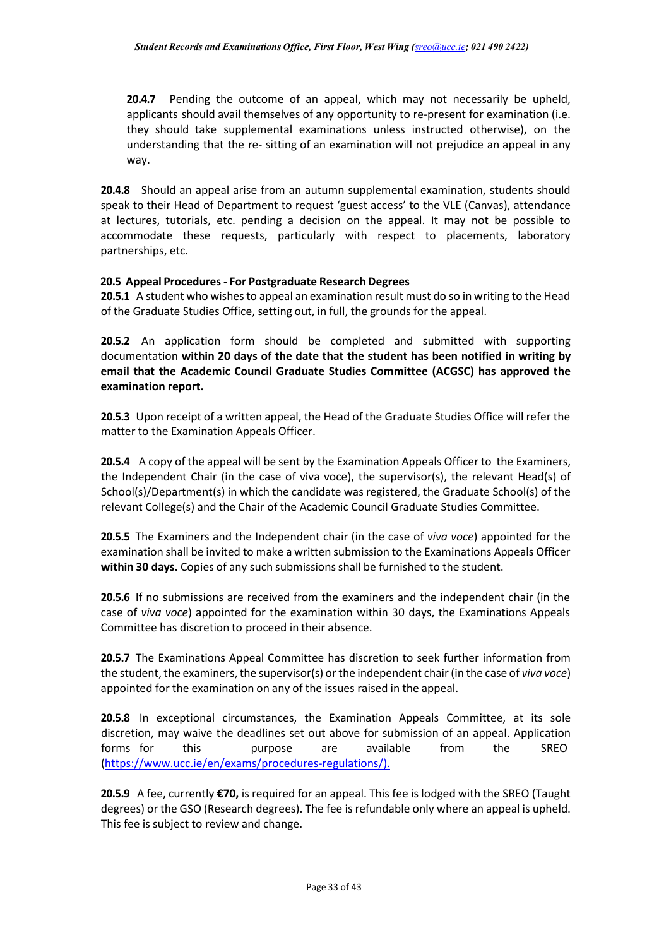**20.4.7** Pending the outcome of an appeal, which may not necessarily be upheld, applicants should avail themselves of any opportunity to re-present for examination (i.e. they should take supplemental examinations unless instructed otherwise), on the understanding that the re- sitting of an examination will not prejudice an appeal in any way.

**20.4.8** Should an appeal arise from an autumn supplemental examination, students should speak to their Head of Department to request 'guest access' to the VLE (Canvas), attendance at lectures, tutorials, etc. pending a decision on the appeal. It may not be possible to accommodate these requests, particularly with respect to placements, laboratory partnerships, etc.

## **20.5 Appeal Procedures- For Postgraduate Research Degrees**

**20.5.1** A student who wishesto appeal an examination result must do so in writing to the Head of the Graduate Studies Office, setting out, in full, the grounds for the appeal.

**20.5.2** An application form should be completed and submitted with supporting documentation **within 20 days of the date that the student has been notified in writing by email that the Academic Council Graduate Studies Committee (ACGSC) has approved the examination report.**

**20.5.3** Upon receipt of a written appeal, the Head of the Graduate Studies Office will refer the matter to the Examination Appeals Officer.

**20.5.4** A copy of the appeal will be sent by the Examination Appeals Officer to the Examiners, the Independent Chair (in the case of viva voce), the supervisor(s), the relevant Head(s) of School(s)/Department(s) in which the candidate was registered, the Graduate School(s) of the relevant College(s) and the Chair of the Academic Council Graduate Studies Committee.

**20.5.5** The Examiners and the Independent chair (in the case of *viva voce*) appointed for the examination shall be invited to make a written submission to the Examinations Appeals Officer **within 30 days.** Copies of any such submissionsshall be furnished to the student.

**20.5.6** If no submissions are received from the examiners and the independent chair (in the case of *viva voce*) appointed for the examination within 30 days, the Examinations Appeals Committee has discretion to proceed in their absence.

**20.5.7** The Examinations Appeal Committee has discretion to seek further information from the student, the examiners, the supervisor(s) or the independent chair (in the case of *viva voce*) appointed for the examination on any of the issues raised in the appeal.

**20.5.8** In exceptional circumstances, the Examination Appeals Committee, at its sole discretion, may waive the deadlines set out above for submission of an appeal. Application forms for this purpose are available from the SREO [\(https://www.ucc.ie/en/exams/procedures-regulations/\)](https://www.ucc.ie/en/exams/procedures-regulations/).

**20.5.9** A fee, currently **€70,** is required for an appeal. This fee is lodged with the SREO (Taught degrees) or the GSO (Research degrees). The fee is refundable only where an appeal is upheld. This fee is subject to review and change.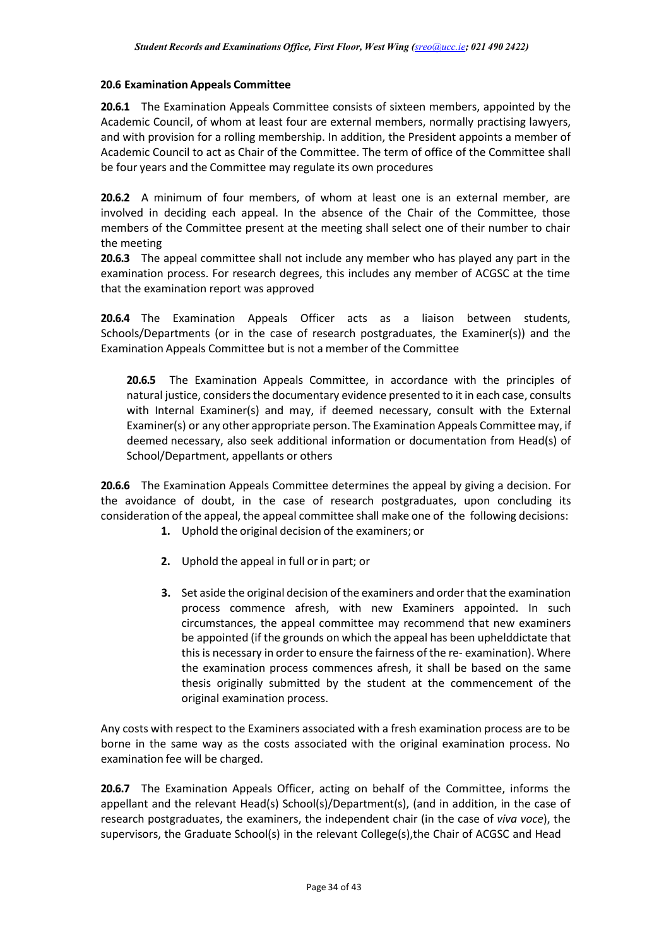### **20.6 Examination Appeals Committee**

**20.6.1** The Examination Appeals Committee consists of sixteen members, appointed by the Academic Council, of whom at least four are external members, normally practising lawyers, and with provision for a rolling membership. In addition, the President appoints a member of Academic Council to act as Chair of the Committee. The term of office of the Committee shall be four years and the Committee may regulate its own procedures

**20.6.2** A minimum of four members, of whom at least one is an external member, are involved in deciding each appeal. In the absence of the Chair of the Committee, those members of the Committee present at the meeting shall select one of their number to chair the meeting

**20.6.3** The appeal committee shall not include any member who has played any part in the examination process. For research degrees, this includes any member of ACGSC at the time that the examination report was approved

**20.6.4** The Examination Appeals Officer acts as a liaison between students, Schools/Departments (or in the case of research postgraduates, the Examiner(s)) and the Examination Appeals Committee but is not a member of the Committee

**20.6.5** The Examination Appeals Committee, in accordance with the principles of natural justice, considers the documentary evidence presented to it in each case, consults with Internal Examiner(s) and may, if deemed necessary, consult with the External Examiner(s) or any other appropriate person. The Examination Appeals Committeemay, if deemed necessary, also seek additional information or documentation from Head(s) of School/Department, appellants or others

**20.6.6** The Examination Appeals Committee determines the appeal by giving a decision. For the avoidance of doubt, in the case of research postgraduates, upon concluding its consideration of the appeal, the appeal committee shall make one of the following decisions:

- **1.** Uphold the original decision of the examiners; or
- **2.** Uphold the appeal in full or in part; or
- **3.** Set aside the original decision of the examiners and order that the examination process commence afresh, with new Examiners appointed. In such circumstances, the appeal committee may recommend that new examiners be appointed (if the grounds on which the appeal has been uphelddictate that this is necessary in order to ensure the fairness of the re- examination). Where the examination process commences afresh, it shall be based on the same thesis originally submitted by the student at the commencement of the original examination process.

Any costs with respect to the Examiners associated with a fresh examination process are to be borne in the same way as the costs associated with the original examination process. No examination fee will be charged.

**20.6.7** The Examination Appeals Officer, acting on behalf of the Committee, informs the appellant and the relevant Head(s) School(s)/Department(s), (and in addition, in the case of research postgraduates, the examiners, the independent chair (in the case of *viva voce*), the supervisors, the Graduate School(s) in the relevant College(s), the Chair of ACGSC and Head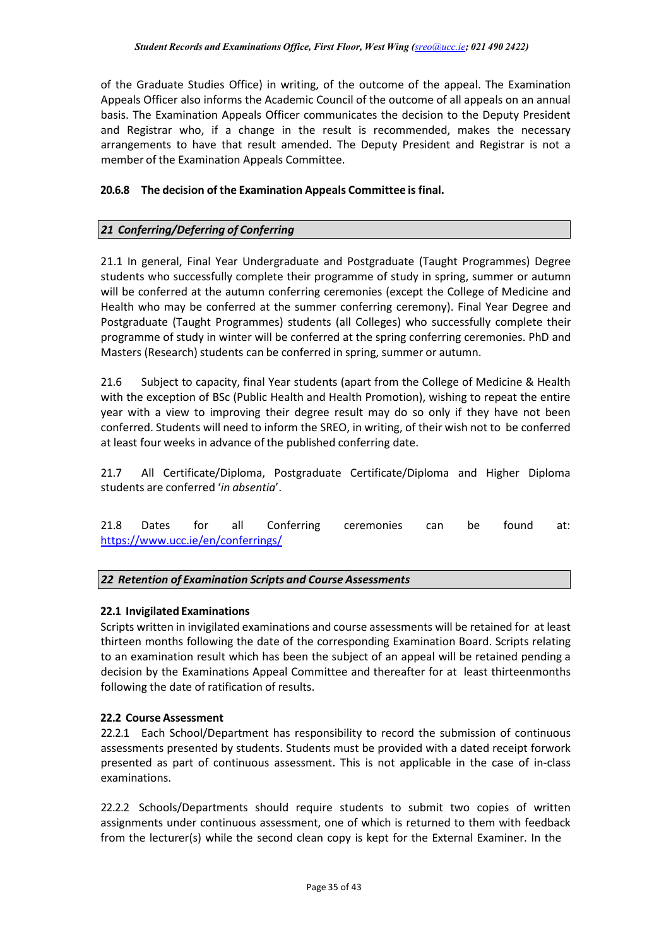of the Graduate Studies Office) in writing, of the outcome of the appeal. The Examination Appeals Officer also informs the Academic Council of the outcome of all appeals on an annual basis. The Examination Appeals Officer communicates the decision to the Deputy President and Registrar who, if a change in the result is recommended, makes the necessary arrangements to have that result amended. The Deputy President and Registrar is not a member of the Examination Appeals Committee.

## **20.6.8 The decision of the Examination Appeals Committee is final.**

## *21 Conferring/Deferring of Conferring*

21.1 In general, Final Year Undergraduate and Postgraduate (Taught Programmes) Degree students who successfully complete their programme of study in spring, summer or autumn will be conferred at the autumn conferring ceremonies (except the College of Medicine and Health who may be conferred at the summer conferring ceremony). Final Year Degree and Postgraduate (Taught Programmes) students (all Colleges) who successfully complete their programme of study in winter will be conferred at the spring conferring ceremonies. PhD and Masters (Research) students can be conferred in spring, summer or autumn.

21.6 Subject to capacity, final Year students (apart from the College of Medicine & Health with the exception of BSc (Public Health and Health Promotion), wishing to repeat the entire year with a view to improving their degree result may do so only if they have not been conferred. Students will need to inform the SREO, in writing, of their wish not to be conferred at least four weeks in advance of the published conferring date.

21.7 All Certificate/Diploma, Postgraduate Certificate/Diploma and Higher Diploma students are conferred '*in absentia*'.

21.8 Dates for all Conferring ceremonies can be found at: <https://www.ucc.ie/en/conferrings/>

### *22 Retention of Examination Scripts and Course Assessments*

### **22.1 Invigilated Examinations**

Scripts written in invigilated examinations and course assessments will be retained for at least thirteen months following the date of the corresponding Examination Board. Scripts relating to an examination result which has been the subject of an appeal will be retained pending a decision by the Examinations Appeal Committee and thereafter for at least thirteenmonths following the date of ratification of results.

### **22.2 Course Assessment**

22.2.1 Each School/Department has responsibility to record the submission of continuous assessments presented by students. Students must be provided with a dated receipt forwork presented as part of continuous assessment. This is not applicable in the case of in-class examinations.

22.2.2 Schools/Departments should require students to submit two copies of written assignments under continuous assessment, one of which is returned to them with feedback from the lecturer(s) while the second clean copy is kept for the External Examiner. In the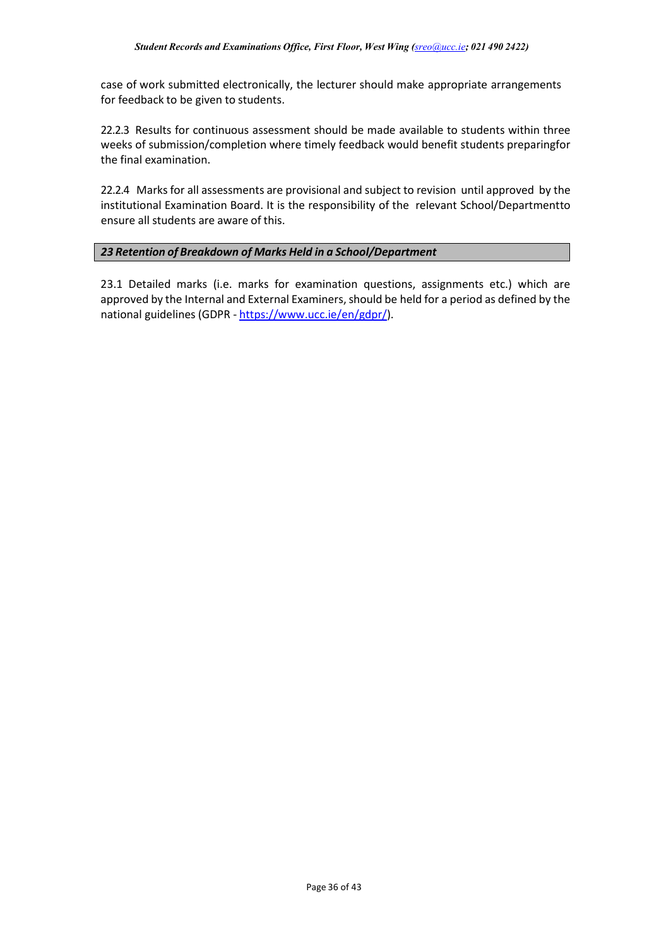case of work submitted electronically, the lecturer should make appropriate arrangements for feedback to be given to students.

22.2.3 Results for continuous assessment should be made available to students within three weeks of submission/completion where timely feedback would benefit students preparingfor the final examination.

22.2.4 Marks for all assessments are provisional and subject to revision until approved by the institutional Examination Board. It is the responsibility of the relevant School/Departmentto ensure all students are aware of this.

## *23 Retention of Breakdown of Marks Held in a School/Department*

23.1 Detailed marks (i.e. marks for examination questions, assignments etc.) which are approved by the Internal and External Examiners, should be held for a period as defined by the national guidelines (GDPR - [https://www.ucc.ie/en/gdpr/\)](https://www.ucc.ie/en/gdpr/).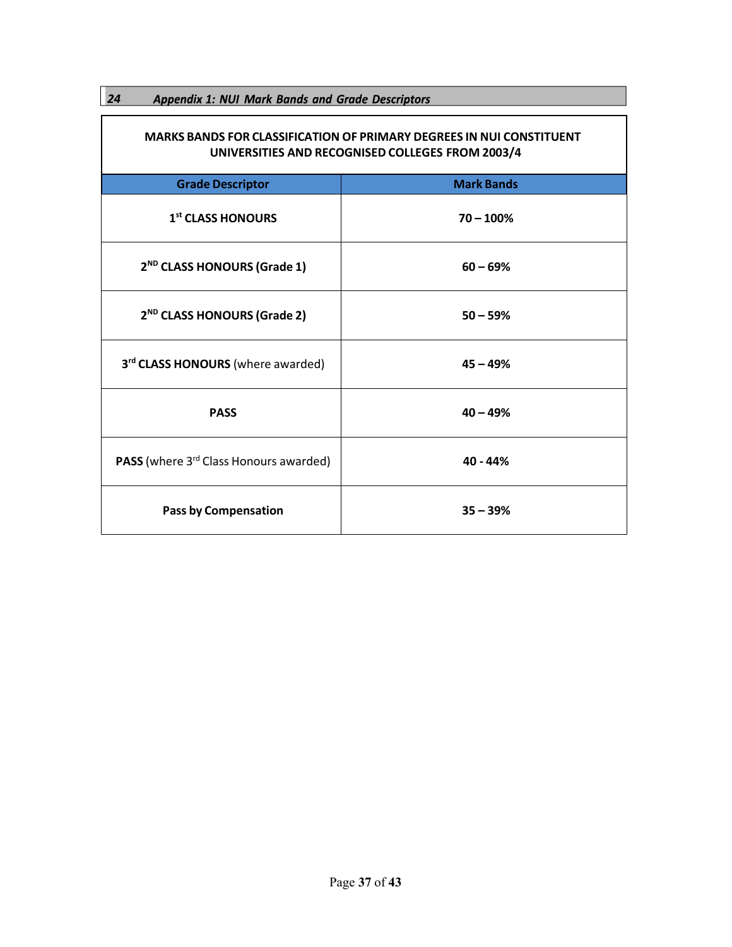<span id="page-37-0"></span>

| 24<br><b>Appendix 1: NUI Mark Bands and Grade Descriptors</b>                                                                   |                   |  |  |  |
|---------------------------------------------------------------------------------------------------------------------------------|-------------------|--|--|--|
| <b>MARKS BANDS FOR CLASSIFICATION OF PRIMARY DEGREES IN NUI CONSTITUENT</b><br>UNIVERSITIES AND RECOGNISED COLLEGES FROM 2003/4 |                   |  |  |  |
| <b>Grade Descriptor</b>                                                                                                         | <b>Mark Bands</b> |  |  |  |
| 1 <sup>st</sup> CLASS HONOURS                                                                                                   | $70 - 100%$       |  |  |  |
| 2 <sup>ND</sup> CLASS HONOURS (Grade 1)                                                                                         | $60 - 69%$        |  |  |  |
| 2 <sup>ND</sup> CLASS HONOURS (Grade 2)                                                                                         | $50 - 59%$        |  |  |  |
| 3rd CLASS HONOURS (where awarded)                                                                                               | $45 - 49%$        |  |  |  |
| <b>PASS</b>                                                                                                                     | $40 - 49%$        |  |  |  |
| <b>PASS</b> (where 3 <sup>rd</sup> Class Honours awarded)                                                                       | 40 - 44%          |  |  |  |
| <b>Pass by Compensation</b>                                                                                                     | $35 - 39%$        |  |  |  |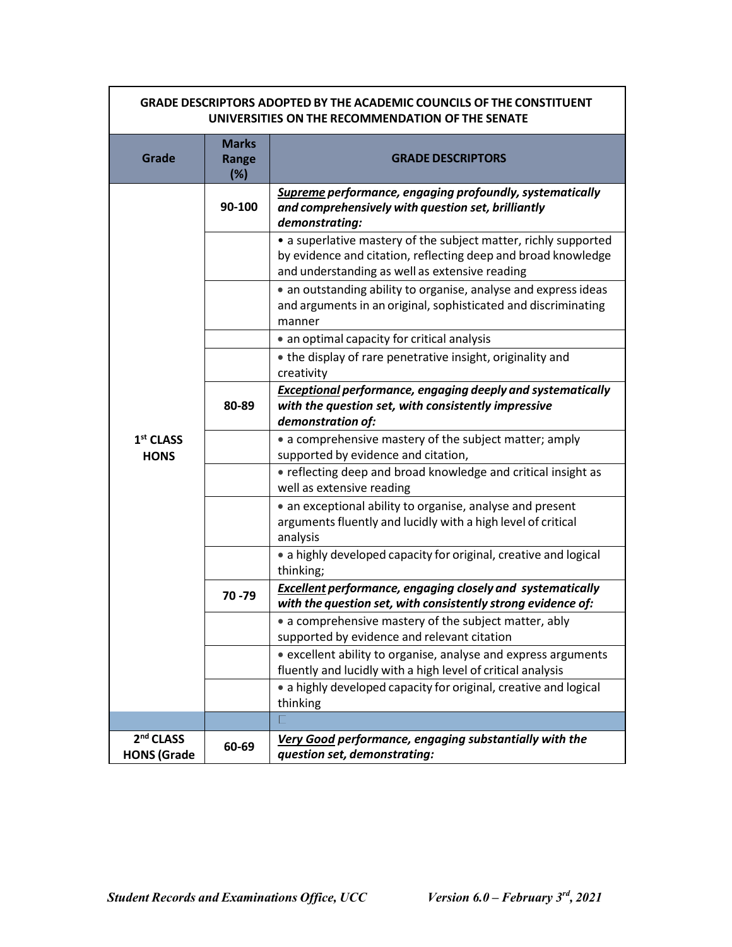| <b>GRADE DESCRIPTORS ADOPTED BY THE ACADEMIC COUNCILS OF THE CONSTITUENT</b><br>UNIVERSITIES ON THE RECOMMENDATION OF THE SENATE |                              |                                                                                                                                                                                    |  |  |  |
|----------------------------------------------------------------------------------------------------------------------------------|------------------------------|------------------------------------------------------------------------------------------------------------------------------------------------------------------------------------|--|--|--|
| Grade                                                                                                                            | <b>Marks</b><br>Range<br>(%) | <b>GRADE DESCRIPTORS</b>                                                                                                                                                           |  |  |  |
|                                                                                                                                  | 90-100                       | Supreme performance, engaging profoundly, systematically<br>and comprehensively with question set, brilliantly<br>demonstrating:                                                   |  |  |  |
|                                                                                                                                  |                              | • a superlative mastery of the subject matter, richly supported<br>by evidence and citation, reflecting deep and broad knowledge<br>and understanding as well as extensive reading |  |  |  |
|                                                                                                                                  |                              | • an outstanding ability to organise, analyse and express ideas<br>and arguments in an original, sophisticated and discriminating<br>manner                                        |  |  |  |
|                                                                                                                                  |                              | • an optimal capacity for critical analysis                                                                                                                                        |  |  |  |
|                                                                                                                                  |                              | • the display of rare penetrative insight, originality and<br>creativity                                                                                                           |  |  |  |
|                                                                                                                                  | 80-89                        | <b>Exceptional performance, engaging deeply and systematically</b><br>with the question set, with consistently impressive<br>demonstration of:                                     |  |  |  |
| $1st$ CLASS<br><b>HONS</b>                                                                                                       |                              | • a comprehensive mastery of the subject matter; amply<br>supported by evidence and citation,                                                                                      |  |  |  |
|                                                                                                                                  |                              | • reflecting deep and broad knowledge and critical insight as<br>well as extensive reading                                                                                         |  |  |  |
|                                                                                                                                  |                              | • an exceptional ability to organise, analyse and present<br>arguments fluently and lucidly with a high level of critical<br>analysis                                              |  |  |  |
|                                                                                                                                  |                              | • a highly developed capacity for original, creative and logical<br>thinking;                                                                                                      |  |  |  |
|                                                                                                                                  | 70 - 79                      | <b>Excellent performance, engaging closely and systematically</b><br>with the question set, with consistently strong evidence of:                                                  |  |  |  |
|                                                                                                                                  |                              | • a comprehensive mastery of the subject matter, ably<br>supported by evidence and relevant citation                                                                               |  |  |  |
|                                                                                                                                  |                              | • excellent ability to organise, analyse and express arguments<br>fluently and lucidly with a high level of critical analysis                                                      |  |  |  |
|                                                                                                                                  |                              | • a highly developed capacity for original, creative and logical<br>thinking                                                                                                       |  |  |  |
|                                                                                                                                  |                              |                                                                                                                                                                                    |  |  |  |
| 2 <sup>nd</sup> CLASS<br><b>HONS (Grade</b>                                                                                      | 60-69                        | Very Good performance, engaging substantially with the<br>question set, demonstrating:                                                                                             |  |  |  |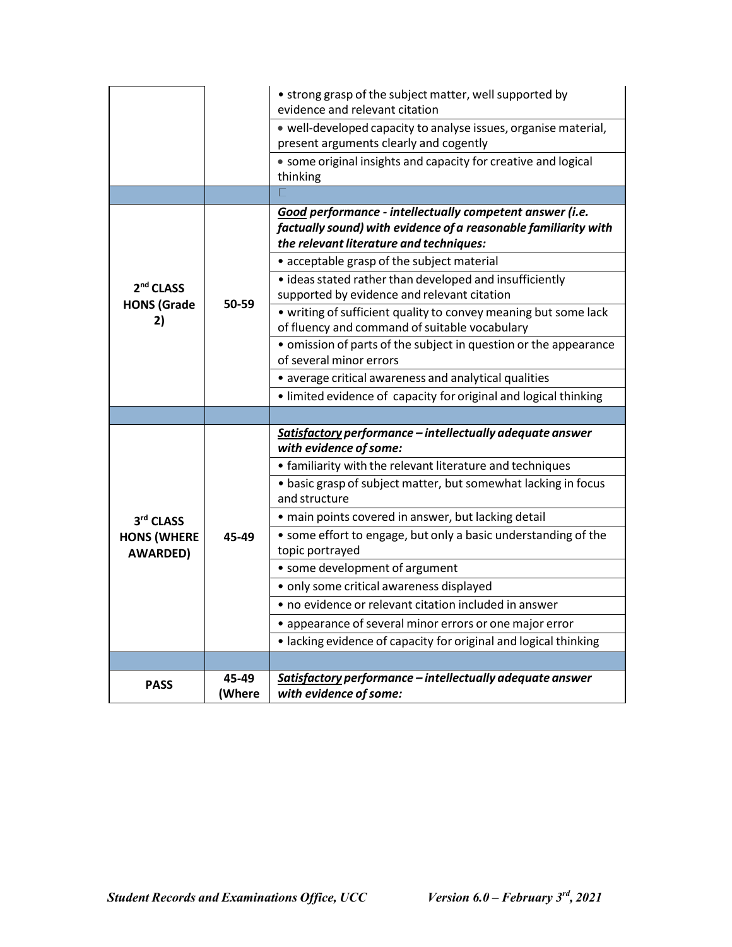|                                       |                 | • strong grasp of the subject matter, well supported by<br>evidence and relevant citation                                                                              |  |  |
|---------------------------------------|-----------------|------------------------------------------------------------------------------------------------------------------------------------------------------------------------|--|--|
|                                       |                 | · well-developed capacity to analyse issues, organise material,<br>present arguments clearly and cogently                                                              |  |  |
|                                       |                 | • some original insights and capacity for creative and logical<br>thinking                                                                                             |  |  |
|                                       |                 |                                                                                                                                                                        |  |  |
|                                       |                 | Good performance - intellectually competent answer (i.e.<br>factually sound) with evidence of a reasonable familiarity with<br>the relevant literature and techniques: |  |  |
|                                       |                 | • acceptable grasp of the subject material                                                                                                                             |  |  |
| 2 <sup>nd</sup> CLASS                 |                 | • ideas stated rather than developed and insufficiently<br>supported by evidence and relevant citation                                                                 |  |  |
| <b>HONS (Grade</b><br>2)              | 50-59           | • writing of sufficient quality to convey meaning but some lack<br>of fluency and command of suitable vocabulary                                                       |  |  |
|                                       |                 | • omission of parts of the subject in question or the appearance<br>of several minor errors                                                                            |  |  |
|                                       |                 | • average critical awareness and analytical qualities                                                                                                                  |  |  |
|                                       |                 | • limited evidence of capacity for original and logical thinking                                                                                                       |  |  |
|                                       |                 |                                                                                                                                                                        |  |  |
|                                       |                 | Satisfactory performance - intellectually adequate answer<br>with evidence of some:                                                                                    |  |  |
|                                       |                 | • familiarity with the relevant literature and techniques                                                                                                              |  |  |
|                                       |                 | • basic grasp of subject matter, but somewhat lacking in focus<br>and structure                                                                                        |  |  |
| 3rd CLASS                             |                 | · main points covered in answer, but lacking detail                                                                                                                    |  |  |
| <b>HONS (WHERE</b><br><b>AWARDED)</b> | 45-49           | • some effort to engage, but only a basic understanding of the<br>topic portrayed                                                                                      |  |  |
|                                       |                 | • some development of argument                                                                                                                                         |  |  |
|                                       |                 | · only some critical awareness displayed                                                                                                                               |  |  |
|                                       |                 | • no evidence or relevant citation included in answer                                                                                                                  |  |  |
|                                       |                 | • appearance of several minor errors or one major error                                                                                                                |  |  |
|                                       |                 | • lacking evidence of capacity for original and logical thinking                                                                                                       |  |  |
|                                       |                 |                                                                                                                                                                        |  |  |
| <b>PASS</b>                           | 45-49<br>(Where | Satisfactory performance - intellectually adequate answer<br>with evidence of some:                                                                                    |  |  |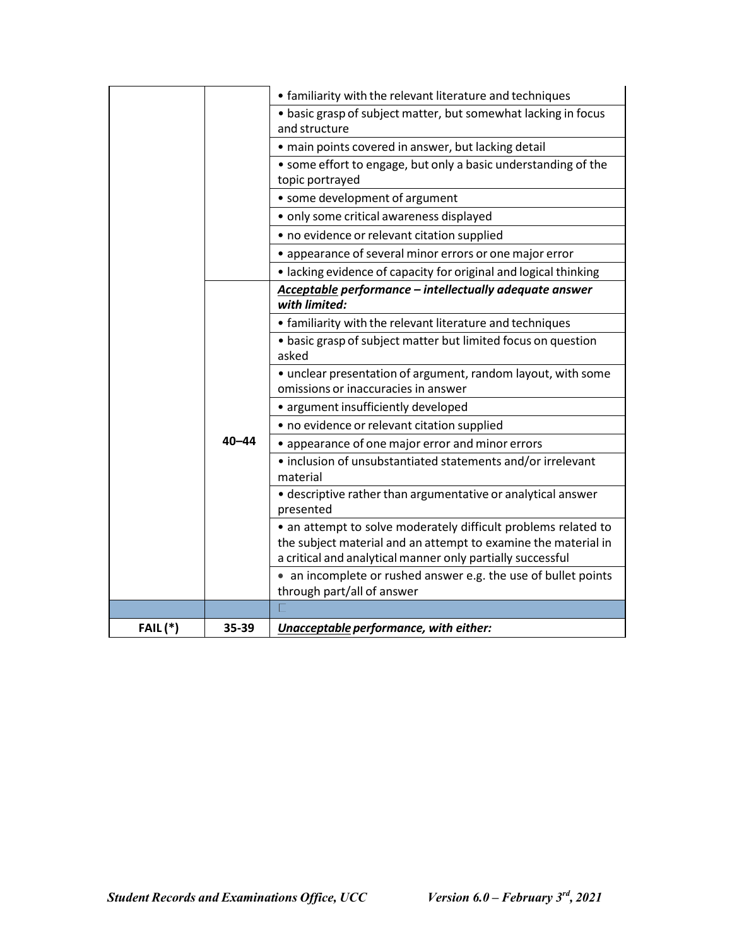|                 |           | • familiarity with the relevant literature and techniques                                           |
|-----------------|-----------|-----------------------------------------------------------------------------------------------------|
|                 |           | • basic grasp of subject matter, but somewhat lacking in focus                                      |
|                 |           | and structure                                                                                       |
|                 |           | • main points covered in answer, but lacking detail                                                 |
|                 |           | • some effort to engage, but only a basic understanding of the                                      |
|                 |           | topic portrayed                                                                                     |
|                 |           | • some development of argument                                                                      |
|                 |           | · only some critical awareness displayed                                                            |
|                 |           | • no evidence or relevant citation supplied                                                         |
|                 |           | • appearance of several minor errors or one major error                                             |
|                 |           | · lacking evidence of capacity for original and logical thinking                                    |
|                 |           | Acceptable performance - intellectually adequate answer<br>with limited:                            |
|                 |           | • familiarity with the relevant literature and techniques                                           |
|                 |           | • basic grasp of subject matter but limited focus on question<br>asked                              |
|                 |           | • unclear presentation of argument, random layout, with some<br>omissions or inaccuracies in answer |
|                 |           | • argument insufficiently developed                                                                 |
|                 |           | • no evidence or relevant citation supplied                                                         |
|                 | $40 - 44$ | • appearance of one major error and minor errors                                                    |
|                 |           | · inclusion of unsubstantiated statements and/or irrelevant<br>material                             |
|                 |           | · descriptive rather than argumentative or analytical answer                                        |
|                 |           | presented                                                                                           |
|                 |           | • an attempt to solve moderately difficult problems related to                                      |
|                 |           | the subject material and an attempt to examine the material in                                      |
|                 |           | a critical and analytical manner only partially successful                                          |
|                 |           | • an incomplete or rushed answer e.g. the use of bullet points<br>through part/all of answer        |
|                 |           |                                                                                                     |
| <b>FAIL</b> (*) | 35-39     | Unacceptable performance, with either:                                                              |
|                 |           |                                                                                                     |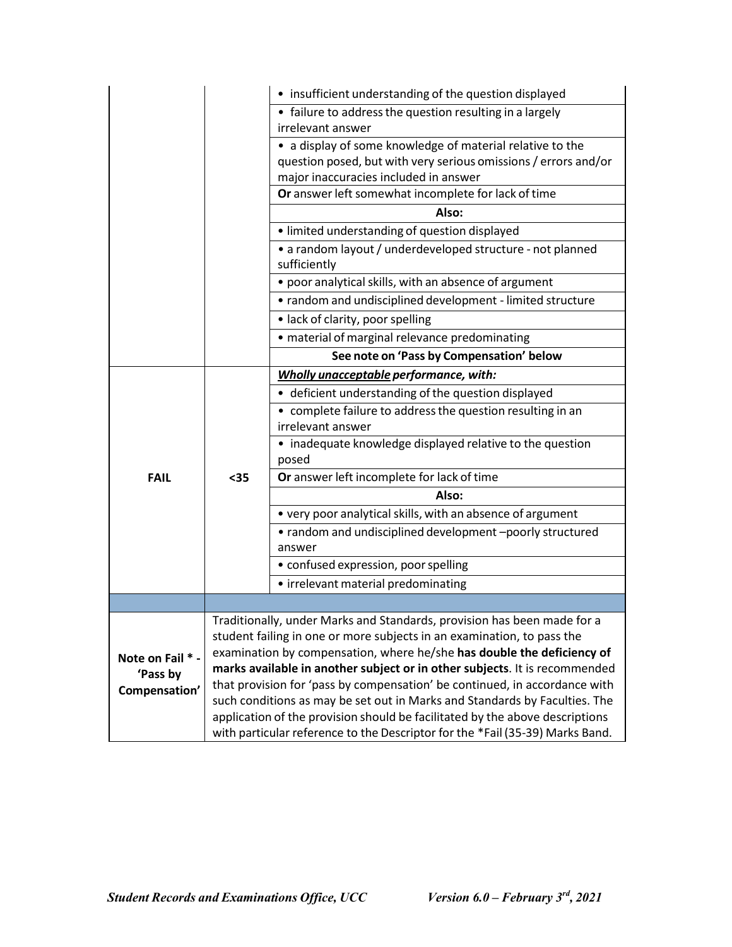|                  |                                                                                                                                                                      | • insufficient understanding of the question displayed                                       |  |  |
|------------------|----------------------------------------------------------------------------------------------------------------------------------------------------------------------|----------------------------------------------------------------------------------------------|--|--|
|                  |                                                                                                                                                                      | • failure to address the question resulting in a largely                                     |  |  |
|                  |                                                                                                                                                                      | irrelevant answer                                                                            |  |  |
|                  |                                                                                                                                                                      | • a display of some knowledge of material relative to the                                    |  |  |
|                  |                                                                                                                                                                      | question posed, but with very serious omissions / errors and/or                              |  |  |
|                  |                                                                                                                                                                      | major inaccuracies included in answer<br>Or answer left somewhat incomplete for lack of time |  |  |
|                  |                                                                                                                                                                      | Also:                                                                                        |  |  |
|                  |                                                                                                                                                                      | • limited understanding of question displayed                                                |  |  |
|                  |                                                                                                                                                                      |                                                                                              |  |  |
|                  |                                                                                                                                                                      | • a random layout / underdeveloped structure - not planned<br>sufficiently                   |  |  |
|                  |                                                                                                                                                                      | • poor analytical skills, with an absence of argument                                        |  |  |
|                  |                                                                                                                                                                      | • random and undisciplined development - limited structure                                   |  |  |
|                  |                                                                                                                                                                      | • lack of clarity, poor spelling                                                             |  |  |
|                  |                                                                                                                                                                      | · material of marginal relevance predominating                                               |  |  |
|                  |                                                                                                                                                                      | See note on 'Pass by Compensation' below                                                     |  |  |
|                  |                                                                                                                                                                      | Wholly unacceptable performance, with:                                                       |  |  |
|                  | $35$                                                                                                                                                                 | • deficient understanding of the question displayed                                          |  |  |
|                  |                                                                                                                                                                      | • complete failure to address the question resulting in an                                   |  |  |
|                  |                                                                                                                                                                      | irrelevant answer                                                                            |  |  |
|                  |                                                                                                                                                                      | • inadequate knowledge displayed relative to the question<br>posed                           |  |  |
| <b>FAIL</b>      |                                                                                                                                                                      | Or answer left incomplete for lack of time                                                   |  |  |
|                  |                                                                                                                                                                      | Also:                                                                                        |  |  |
|                  |                                                                                                                                                                      | • very poor analytical skills, with an absence of argument                                   |  |  |
|                  |                                                                                                                                                                      | • random and undisciplined development -poorly structured                                    |  |  |
|                  |                                                                                                                                                                      | answer                                                                                       |  |  |
|                  |                                                                                                                                                                      | • confused expression, poor spelling                                                         |  |  |
|                  |                                                                                                                                                                      | • irrelevant material predominating                                                          |  |  |
|                  |                                                                                                                                                                      |                                                                                              |  |  |
|                  |                                                                                                                                                                      | Traditionally, under Marks and Standards, provision has been made for a                      |  |  |
|                  | student failing in one or more subjects in an examination, to pass the                                                                                               |                                                                                              |  |  |
| Note on Fail * - |                                                                                                                                                                      | examination by compensation, where he/she has double the deficiency of                       |  |  |
|                  | marks available in another subject or in other subjects. It is recommended<br>'Pass by<br>that provision for 'pass by compensation' be continued, in accordance with |                                                                                              |  |  |
| Compensation'    |                                                                                                                                                                      | such conditions as may be set out in Marks and Standards by Faculties. The                   |  |  |
|                  |                                                                                                                                                                      | application of the provision should be facilitated by the above descriptions                 |  |  |
|                  |                                                                                                                                                                      | with particular reference to the Descriptor for the *Fail (35-39) Marks Band.                |  |  |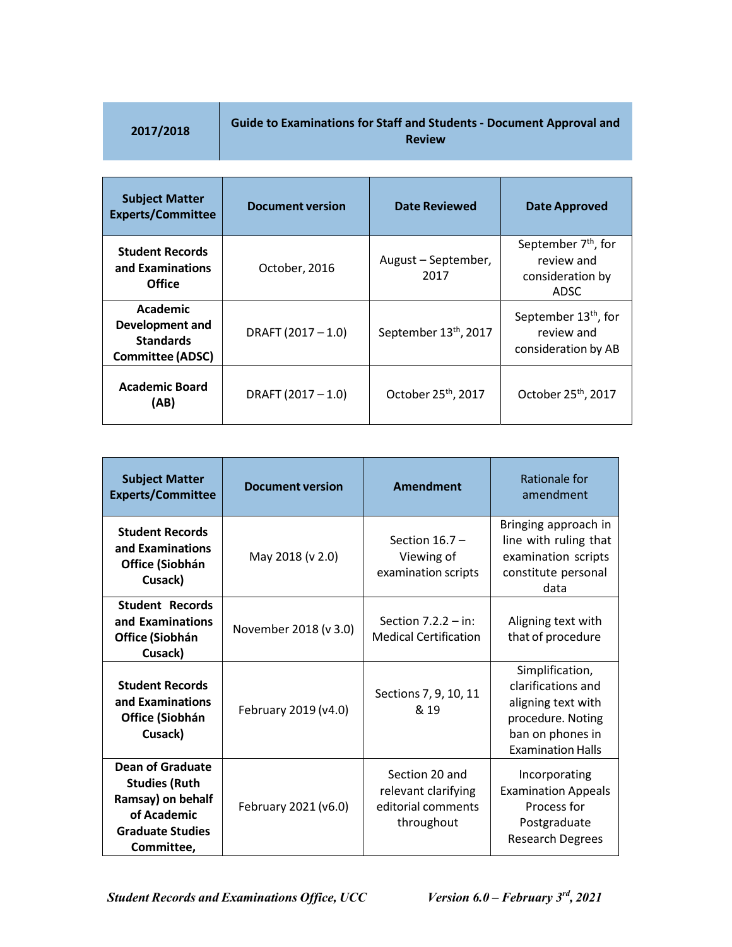|  |  | 2017/2018 |  |  |
|--|--|-----------|--|--|
|  |  |           |  |  |

# **2017/2018 Guide to Examinations for Staff and Students - Document Approval and Review**

| <b>Subject Matter</b><br><b>Experts/Committee</b>                                 | <b>Document version</b> | <b>Date Reviewed</b>              | Date Approved                                                                    |
|-----------------------------------------------------------------------------------|-------------------------|-----------------------------------|----------------------------------------------------------------------------------|
| <b>Student Records</b><br>and Examinations<br>Office                              | October, 2016           | August – September,<br>2017       | September 7 <sup>th</sup> , for<br>review and<br>consideration by<br><b>ADSC</b> |
| Academic<br><b>Development and</b><br><b>Standards</b><br><b>Committee (ADSC)</b> | DRAFT (2017-1.0)        | September 13 <sup>th</sup> , 2017 | September 13 <sup>th</sup> , for<br>review and<br>consideration by AB            |
| <b>Academic Board</b><br>(AB)                                                     | DRAFT $(2017 - 1.0)$    | October 25 <sup>th</sup> , 2017   | October 25 <sup>th</sup> , 2017                                                  |

| <b>Subject Matter</b><br><b>Experts/Committee</b>                                                                            | <b>Document version</b> | Amendment                                                                 | Rationale for<br>amendment                                                                                                       |
|------------------------------------------------------------------------------------------------------------------------------|-------------------------|---------------------------------------------------------------------------|----------------------------------------------------------------------------------------------------------------------------------|
| <b>Student Records</b><br>and Examinations<br>Office (Siobhán<br>Cusack)                                                     | May 2018 (v 2.0)        | Section $16.7 -$<br>Viewing of<br>examination scripts                     | Bringing approach in<br>line with ruling that<br>examination scripts<br>constitute personal<br>data                              |
| <b>Student Records</b><br>and Examinations<br>Office (Siobhán<br>Cusack)                                                     | November 2018 (v 3.0)   | Section $7.2.2 - in$ :<br><b>Medical Certification</b>                    | Aligning text with<br>that of procedure                                                                                          |
| <b>Student Records</b><br>and Examinations<br>Office (Siobhán<br>Cusack)                                                     | February 2019 (v4.0)    | Sections 7, 9, 10, 11<br>& 19                                             | Simplification,<br>clarifications and<br>aligning text with<br>procedure. Noting<br>ban on phones in<br><b>Examination Halls</b> |
| <b>Dean of Graduate</b><br><b>Studies (Ruth</b><br>Ramsay) on behalf<br>of Academic<br><b>Graduate Studies</b><br>Committee, | February 2021 (v6.0)    | Section 20 and<br>relevant clarifying<br>editorial comments<br>throughout | Incorporating<br><b>Examination Appeals</b><br>Process for<br>Postgraduate<br><b>Research Degrees</b>                            |

*Version 6.0 – February 3rd Student Records and Examinations Office, UCC , 2021*